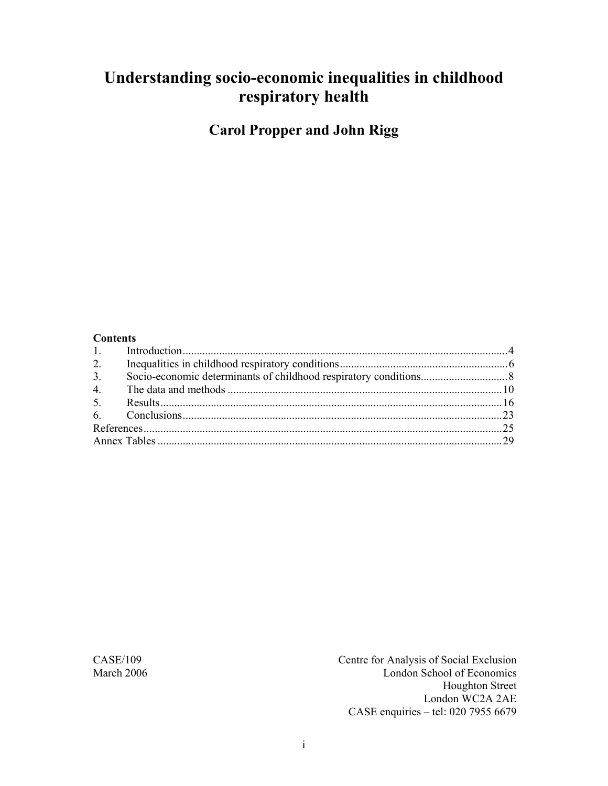# **Understanding socio-economic inequalities in childhood respiratory health**

**Carol Propper and John Rigg** 

#### **Contents**

| 2. |  |
|----|--|
| 3. |  |
| 4. |  |
|    |  |
|    |  |
|    |  |
|    |  |

CASE/109 Centre for Analysis of Social Exclusion March 2006 London School of Economics Houghton Street London WC2A 2AE CASE enquiries – tel: 020 7955 6679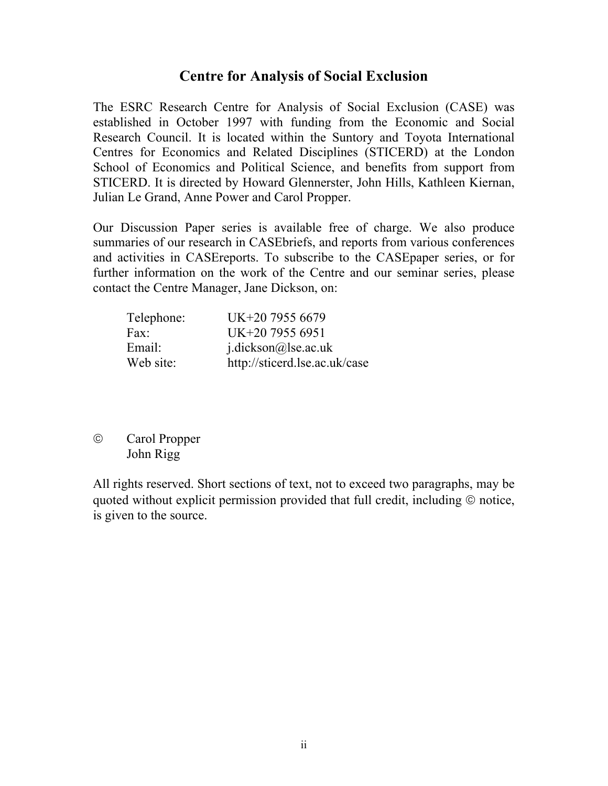#### **Centre for Analysis of Social Exclusion**

The ESRC Research Centre for Analysis of Social Exclusion (CASE) was established in October 1997 with funding from the Economic and Social Research Council. It is located within the Suntory and Toyota International Centres for Economics and Related Disciplines (STICERD) at the London School of Economics and Political Science, and benefits from support from STICERD. It is directed by Howard Glennerster, John Hills, Kathleen Kiernan, Julian Le Grand, Anne Power and Carol Propper.

Our Discussion Paper series is available free of charge. We also produce summaries of our research in CASEbriefs, and reports from various conferences and activities in CASEreports. To subscribe to the CASEpaper series, or for further information on the work of the Centre and our seminar series, please contact the Centre Manager, Jane Dickson, on:

| Telephone: | UK+20 7955 6679               |
|------------|-------------------------------|
| Fax:       | UK+20 7955 6951               |
| Email:     | $i$ .dickson@lse.ac.uk        |
| Web site:  | http://sticerd.lse.ac.uk/case |

© Carol Propper John Rigg

All rights reserved. Short sections of text, not to exceed two paragraphs, may be quoted without explicit permission provided that full credit, including © notice, is given to the source.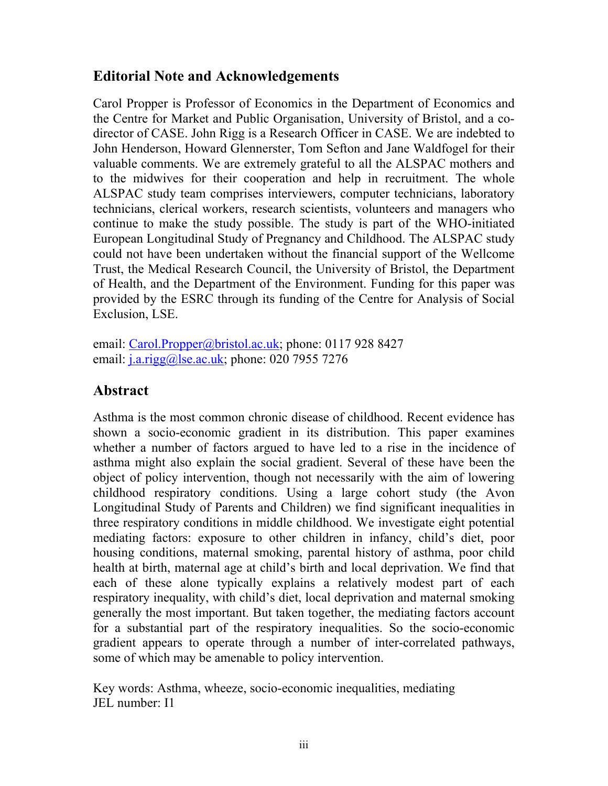## **Editorial Note and Acknowledgements**

Carol Propper is Professor of Economics in the Department of Economics and the Centre for Market and Public Organisation, University of Bristol, and a codirector of CASE. John Rigg is a Research Officer in CASE. We are indebted to John Henderson, Howard Glennerster, Tom Sefton and Jane Waldfogel for their valuable comments. We are extremely grateful to all the ALSPAC mothers and to the midwives for their cooperation and help in recruitment. The whole ALSPAC study team comprises interviewers, computer technicians, laboratory technicians, clerical workers, research scientists, volunteers and managers who continue to make the study possible. The study is part of the WHO-initiated European Longitudinal Study of Pregnancy and Childhood. The ALSPAC study could not have been undertaken without the financial support of the Wellcome Trust, the Medical Research Council, the University of Bristol, the Department of Health, and the Department of the Environment. Funding for this paper was provided by the ESRC through its funding of the Centre for Analysis of Social Exclusion, LSE.

email: Carol.Propper@bristol.ac.uk; phone: 0117 928 8427 email:  $i.a.rigg(a)$ lse.ac.uk; phone: 020 7955 7276

# **Abstract**

Asthma is the most common chronic disease of childhood. Recent evidence has shown a socio-economic gradient in its distribution. This paper examines whether a number of factors argued to have led to a rise in the incidence of asthma might also explain the social gradient. Several of these have been the object of policy intervention, though not necessarily with the aim of lowering childhood respiratory conditions. Using a large cohort study (the Avon Longitudinal Study of Parents and Children) we find significant inequalities in three respiratory conditions in middle childhood. We investigate eight potential mediating factors: exposure to other children in infancy, child's diet, poor housing conditions, maternal smoking, parental history of asthma, poor child health at birth, maternal age at child's birth and local deprivation. We find that each of these alone typically explains a relatively modest part of each respiratory inequality, with child's diet, local deprivation and maternal smoking generally the most important. But taken together, the mediating factors account for a substantial part of the respiratory inequalities. So the socio-economic gradient appears to operate through a number of inter-correlated pathways, some of which may be amenable to policy intervention.

Key words: Asthma, wheeze, socio-economic inequalities, mediating JEL number: I1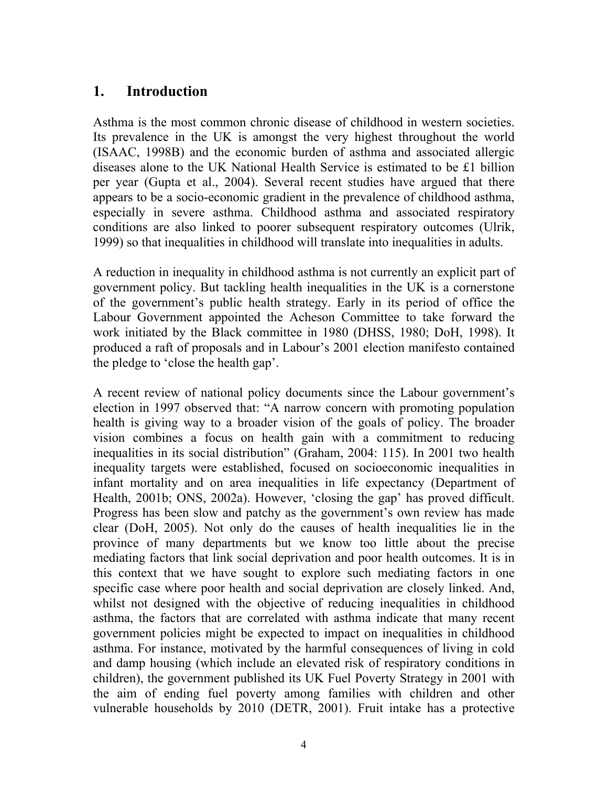## **1. Introduction**

Asthma is the most common chronic disease of childhood in western societies. Its prevalence in the UK is amongst the very highest throughout the world (ISAAC, 1998B) and the economic burden of asthma and associated allergic diseases alone to the UK National Health Service is estimated to be £1 billion per year (Gupta et al., 2004). Several recent studies have argued that there appears to be a socio-economic gradient in the prevalence of childhood asthma, especially in severe asthma. Childhood asthma and associated respiratory conditions are also linked to poorer subsequent respiratory outcomes (Ulrik, 1999) so that inequalities in childhood will translate into inequalities in adults.

A reduction in inequality in childhood asthma is not currently an explicit part of government policy. But tackling health inequalities in the UK is a cornerstone of the government's public health strategy. Early in its period of office the Labour Government appointed the Acheson Committee to take forward the work initiated by the Black committee in 1980 (DHSS, 1980; DoH, 1998). It produced a raft of proposals and in Labour's 2001 election manifesto contained the pledge to 'close the health gap'.

A recent review of national policy documents since the Labour government's election in 1997 observed that: "A narrow concern with promoting population health is giving way to a broader vision of the goals of policy. The broader vision combines a focus on health gain with a commitment to reducing inequalities in its social distribution" (Graham, 2004: 115). In 2001 two health inequality targets were established, focused on socioeconomic inequalities in infant mortality and on area inequalities in life expectancy (Department of Health, 2001b; ONS, 2002a). However, 'closing the gap' has proved difficult. Progress has been slow and patchy as the government's own review has made clear (DoH, 2005). Not only do the causes of health inequalities lie in the province of many departments but we know too little about the precise mediating factors that link social deprivation and poor health outcomes. It is in this context that we have sought to explore such mediating factors in one specific case where poor health and social deprivation are closely linked. And, whilst not designed with the objective of reducing inequalities in childhood asthma, the factors that are correlated with asthma indicate that many recent government policies might be expected to impact on inequalities in childhood asthma. For instance, motivated by the harmful consequences of living in cold and damp housing (which include an elevated risk of respiratory conditions in children), the government published its UK Fuel Poverty Strategy in 2001 with the aim of ending fuel poverty among families with children and other vulnerable households by 2010 (DETR, 2001). Fruit intake has a protective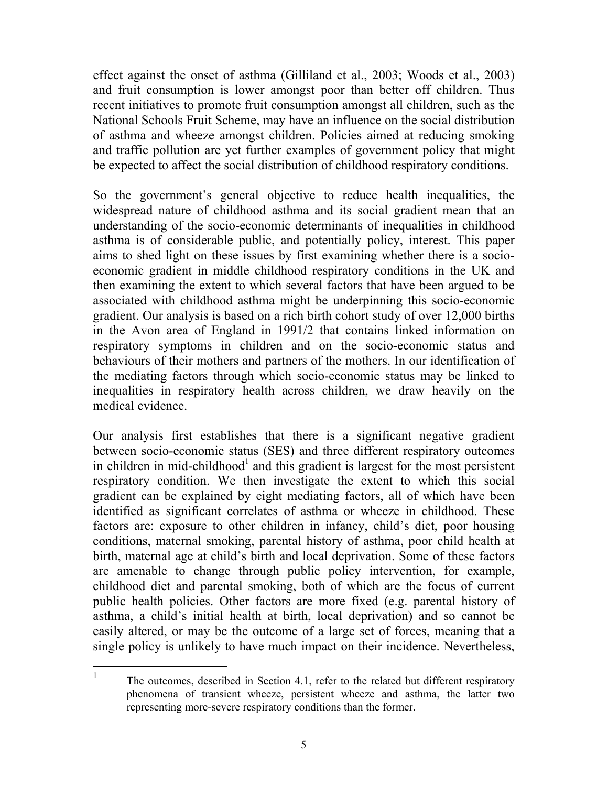effect against the onset of asthma (Gilliland et al., 2003; Woods et al., 2003) and fruit consumption is lower amongst poor than better off children. Thus recent initiatives to promote fruit consumption amongst all children, such as the National Schools Fruit Scheme, may have an influence on the social distribution of asthma and wheeze amongst children. Policies aimed at reducing smoking and traffic pollution are yet further examples of government policy that might be expected to affect the social distribution of childhood respiratory conditions.

So the government's general objective to reduce health inequalities, the widespread nature of childhood asthma and its social gradient mean that an understanding of the socio-economic determinants of inequalities in childhood asthma is of considerable public, and potentially policy, interest. This paper aims to shed light on these issues by first examining whether there is a socioeconomic gradient in middle childhood respiratory conditions in the UK and then examining the extent to which several factors that have been argued to be associated with childhood asthma might be underpinning this socio-economic gradient. Our analysis is based on a rich birth cohort study of over 12,000 births in the Avon area of England in 1991/2 that contains linked information on respiratory symptoms in children and on the socio-economic status and behaviours of their mothers and partners of the mothers. In our identification of the mediating factors through which socio-economic status may be linked to inequalities in respiratory health across children, we draw heavily on the medical evidence.

Our analysis first establishes that there is a significant negative gradient between socio-economic status (SES) and three different respiratory outcomes in children in mid-childhood<sup>1</sup> and this gradient is largest for the most persistent respiratory condition. We then investigate the extent to which this social gradient can be explained by eight mediating factors, all of which have been identified as significant correlates of asthma or wheeze in childhood. These factors are: exposure to other children in infancy, child's diet, poor housing conditions, maternal smoking, parental history of asthma, poor child health at birth, maternal age at child's birth and local deprivation. Some of these factors are amenable to change through public policy intervention, for example, childhood diet and parental smoking, both of which are the focus of current public health policies. Other factors are more fixed (e.g. parental history of asthma, a child's initial health at birth, local deprivation) and so cannot be easily altered, or may be the outcome of a large set of forces, meaning that a single policy is unlikely to have much impact on their incidence. Nevertheless,

-

<sup>1</sup> The outcomes, described in Section 4.1, refer to the related but different respiratory phenomena of transient wheeze, persistent wheeze and asthma, the latter two representing more-severe respiratory conditions than the former.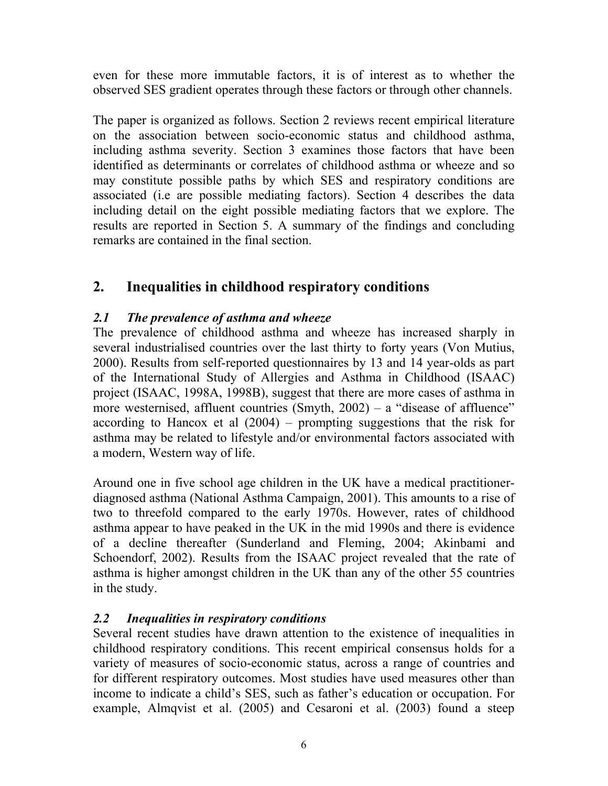even for these more immutable factors, it is of interest as to whether the observed SES gradient operates through these factors or through other channels.

The paper is organized as follows. Section 2 reviews recent empirical literature on the association between socio-economic status and childhood asthma, including asthma severity. Section 3 examines those factors that have been identified as determinants or correlates of childhood asthma or wheeze and so may constitute possible paths by which SES and respiratory conditions are associated (i.e are possible mediating factors). Section 4 describes the data including detail on the eight possible mediating factors that we explore. The results are reported in Section 5. A summary of the findings and concluding remarks are contained in the final section.

# **2. Inequalities in childhood respiratory conditions**

#### *2.1 The prevalence of asthma and wheeze*

The prevalence of childhood asthma and wheeze has increased sharply in several industrialised countries over the last thirty to forty years (Von Mutius, 2000). Results from self-reported questionnaires by 13 and 14 year-olds as part of the International Study of Allergies and Asthma in Childhood (ISAAC) project (ISAAC, 1998A, 1998B), suggest that there are more cases of asthma in more westernised, affluent countries (Smyth,  $2002$ ) – a "disease of affluence" according to Hancox et al (2004) – prompting suggestions that the risk for asthma may be related to lifestyle and/or environmental factors associated with a modern, Western way of life.

Around one in five school age children in the UK have a medical practitionerdiagnosed asthma (National Asthma Campaign, 2001). This amounts to a rise of two to threefold compared to the early 1970s. However, rates of childhood asthma appear to have peaked in the UK in the mid 1990s and there is evidence of a decline thereafter (Sunderland and Fleming, 2004; Akinbami and Schoendorf, 2002). Results from the ISAAC project revealed that the rate of asthma is higher amongst children in the UK than any of the other 55 countries in the study.

### *2.2 Inequalities in respiratory conditions*

Several recent studies have drawn attention to the existence of inequalities in childhood respiratory conditions. This recent empirical consensus holds for a variety of measures of socio-economic status, across a range of countries and for different respiratory outcomes. Most studies have used measures other than income to indicate a child's SES, such as father's education or occupation. For example, Almqvist et al. (2005) and Cesaroni et al. (2003) found a steep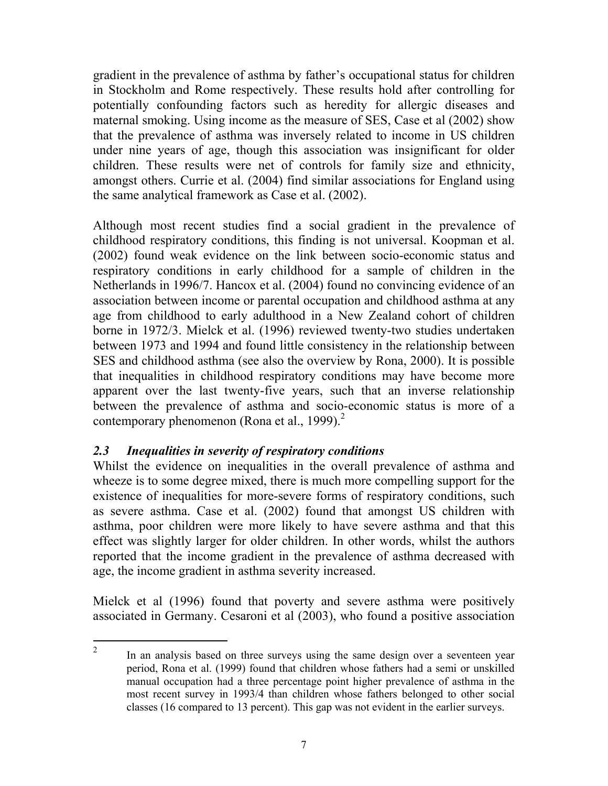gradient in the prevalence of asthma by father's occupational status for children in Stockholm and Rome respectively. These results hold after controlling for potentially confounding factors such as heredity for allergic diseases and maternal smoking. Using income as the measure of SES, Case et al (2002) show that the prevalence of asthma was inversely related to income in US children under nine years of age, though this association was insignificant for older children. These results were net of controls for family size and ethnicity, amongst others. Currie et al. (2004) find similar associations for England using the same analytical framework as Case et al. (2002).

Although most recent studies find a social gradient in the prevalence of childhood respiratory conditions, this finding is not universal. Koopman et al. (2002) found weak evidence on the link between socio-economic status and respiratory conditions in early childhood for a sample of children in the Netherlands in 1996/7. Hancox et al. (2004) found no convincing evidence of an association between income or parental occupation and childhood asthma at any age from childhood to early adulthood in a New Zealand cohort of children borne in 1972/3. Mielck et al. (1996) reviewed twenty-two studies undertaken between 1973 and 1994 and found little consistency in the relationship between SES and childhood asthma (see also the overview by Rona, 2000). It is possible that inequalities in childhood respiratory conditions may have become more apparent over the last twenty-five years, such that an inverse relationship between the prevalence of asthma and socio-economic status is more of a contemporary phenomenon (Rona et al., 1999). $<sup>2</sup>$ </sup>

#### *2.3 Inequalities in severity of respiratory conditions*

 $\overline{a}$ 

Whilst the evidence on inequalities in the overall prevalence of asthma and wheeze is to some degree mixed, there is much more compelling support for the existence of inequalities for more-severe forms of respiratory conditions, such as severe asthma. Case et al. (2002) found that amongst US children with asthma, poor children were more likely to have severe asthma and that this effect was slightly larger for older children. In other words, whilst the authors reported that the income gradient in the prevalence of asthma decreased with age, the income gradient in asthma severity increased.

Mielck et al (1996) found that poverty and severe asthma were positively associated in Germany. Cesaroni et al (2003), who found a positive association

<sup>2</sup> In an analysis based on three surveys using the same design over a seventeen year period, Rona et al. (1999) found that children whose fathers had a semi or unskilled manual occupation had a three percentage point higher prevalence of asthma in the most recent survey in 1993/4 than children whose fathers belonged to other social classes (16 compared to 13 percent). This gap was not evident in the earlier surveys.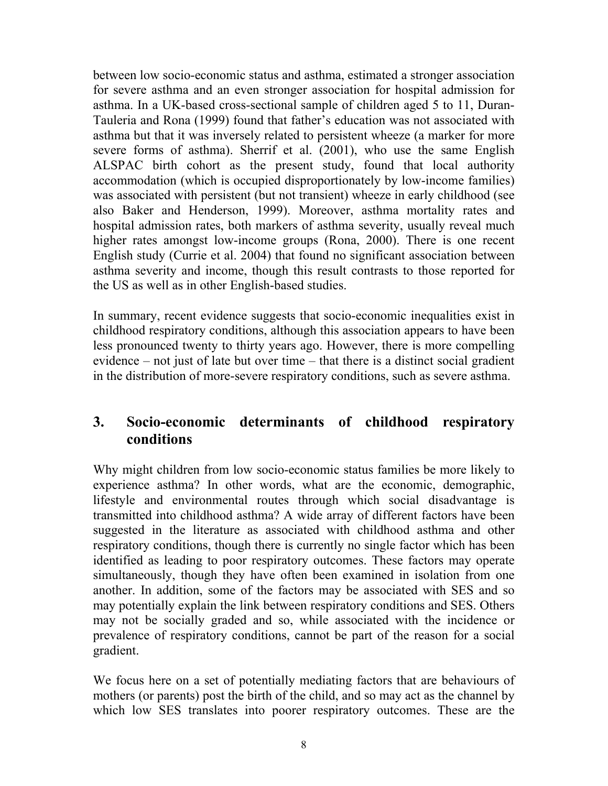between low socio-economic status and asthma, estimated a stronger association for severe asthma and an even stronger association for hospital admission for asthma. In a UK-based cross-sectional sample of children aged 5 to 11, Duran-Tauleria and Rona (1999) found that father's education was not associated with asthma but that it was inversely related to persistent wheeze (a marker for more severe forms of asthma). Sherrif et al. (2001), who use the same English ALSPAC birth cohort as the present study, found that local authority accommodation (which is occupied disproportionately by low-income families) was associated with persistent (but not transient) wheeze in early childhood (see also Baker and Henderson, 1999). Moreover, asthma mortality rates and hospital admission rates, both markers of asthma severity, usually reveal much higher rates amongst low-income groups (Rona, 2000). There is one recent English study (Currie et al. 2004) that found no significant association between asthma severity and income, though this result contrasts to those reported for the US as well as in other English-based studies.

In summary, recent evidence suggests that socio-economic inequalities exist in childhood respiratory conditions, although this association appears to have been less pronounced twenty to thirty years ago. However, there is more compelling evidence – not just of late but over time – that there is a distinct social gradient in the distribution of more-severe respiratory conditions, such as severe asthma.

## **3. Socio-economic determinants of childhood respiratory conditions**

Why might children from low socio-economic status families be more likely to experience asthma? In other words, what are the economic, demographic, lifestyle and environmental routes through which social disadvantage is transmitted into childhood asthma? A wide array of different factors have been suggested in the literature as associated with childhood asthma and other respiratory conditions, though there is currently no single factor which has been identified as leading to poor respiratory outcomes. These factors may operate simultaneously, though they have often been examined in isolation from one another. In addition, some of the factors may be associated with SES and so may potentially explain the link between respiratory conditions and SES. Others may not be socially graded and so, while associated with the incidence or prevalence of respiratory conditions, cannot be part of the reason for a social gradient.

We focus here on a set of potentially mediating factors that are behaviours of mothers (or parents) post the birth of the child, and so may act as the channel by which low SES translates into poorer respiratory outcomes. These are the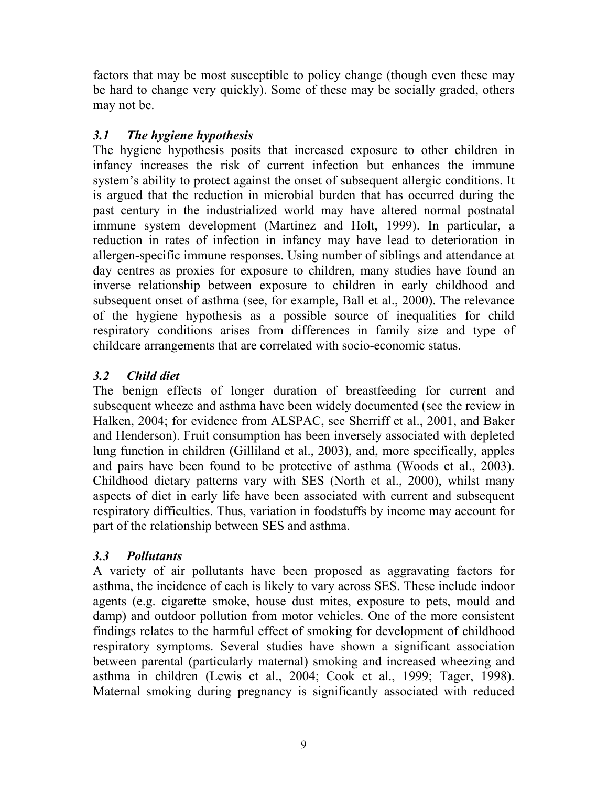factors that may be most susceptible to policy change (though even these may be hard to change very quickly). Some of these may be socially graded, others may not be.

### *3.1 The hygiene hypothesis*

The hygiene hypothesis posits that increased exposure to other children in infancy increases the risk of current infection but enhances the immune system's ability to protect against the onset of subsequent allergic conditions. It is argued that the reduction in microbial burden that has occurred during the past century in the industrialized world may have altered normal postnatal immune system development (Martinez and Holt, 1999). In particular, a reduction in rates of infection in infancy may have lead to deterioration in allergen-specific immune responses. Using number of siblings and attendance at day centres as proxies for exposure to children, many studies have found an inverse relationship between exposure to children in early childhood and subsequent onset of asthma (see, for example, Ball et al., 2000). The relevance of the hygiene hypothesis as a possible source of inequalities for child respiratory conditions arises from differences in family size and type of childcare arrangements that are correlated with socio-economic status.

### *3.2 Child diet*

The benign effects of longer duration of breastfeeding for current and subsequent wheeze and asthma have been widely documented (see the review in Halken, 2004; for evidence from ALSPAC, see Sherriff et al., 2001, and Baker and Henderson). Fruit consumption has been inversely associated with depleted lung function in children (Gilliland et al., 2003), and, more specifically, apples and pairs have been found to be protective of asthma (Woods et al., 2003). Childhood dietary patterns vary with SES (North et al., 2000), whilst many aspects of diet in early life have been associated with current and subsequent respiratory difficulties. Thus, variation in foodstuffs by income may account for part of the relationship between SES and asthma.

#### *3.3 Pollutants*

A variety of air pollutants have been proposed as aggravating factors for asthma, the incidence of each is likely to vary across SES. These include indoor agents (e.g. cigarette smoke, house dust mites, exposure to pets, mould and damp) and outdoor pollution from motor vehicles. One of the more consistent findings relates to the harmful effect of smoking for development of childhood respiratory symptoms. Several studies have shown a significant association between parental (particularly maternal) smoking and increased wheezing and asthma in children (Lewis et al., 2004; Cook et al., 1999; Tager, 1998). Maternal smoking during pregnancy is significantly associated with reduced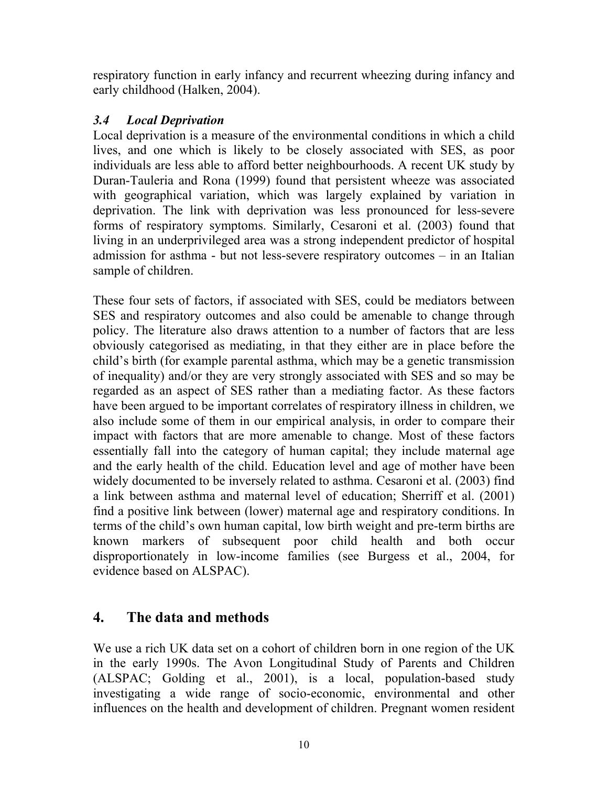respiratory function in early infancy and recurrent wheezing during infancy and early childhood (Halken, 2004).

#### *3.4 Local Deprivation*

Local deprivation is a measure of the environmental conditions in which a child lives, and one which is likely to be closely associated with SES, as poor individuals are less able to afford better neighbourhoods. A recent UK study by Duran-Tauleria and Rona (1999) found that persistent wheeze was associated with geographical variation, which was largely explained by variation in deprivation. The link with deprivation was less pronounced for less-severe forms of respiratory symptoms. Similarly, Cesaroni et al. (2003) found that living in an underprivileged area was a strong independent predictor of hospital admission for asthma - but not less-severe respiratory outcomes – in an Italian sample of children.

These four sets of factors, if associated with SES, could be mediators between SES and respiratory outcomes and also could be amenable to change through policy. The literature also draws attention to a number of factors that are less obviously categorised as mediating, in that they either are in place before the child's birth (for example parental asthma, which may be a genetic transmission of inequality) and/or they are very strongly associated with SES and so may be regarded as an aspect of SES rather than a mediating factor. As these factors have been argued to be important correlates of respiratory illness in children, we also include some of them in our empirical analysis, in order to compare their impact with factors that are more amenable to change. Most of these factors essentially fall into the category of human capital; they include maternal age and the early health of the child. Education level and age of mother have been widely documented to be inversely related to asthma. Cesaroni et al. (2003) find a link between asthma and maternal level of education; Sherriff et al. (2001) find a positive link between (lower) maternal age and respiratory conditions. In terms of the child's own human capital, low birth weight and pre-term births are known markers of subsequent poor child health and both occur disproportionately in low-income families (see Burgess et al., 2004, for evidence based on ALSPAC).

# **4. The data and methods**

We use a rich UK data set on a cohort of children born in one region of the UK in the early 1990s. The Avon Longitudinal Study of Parents and Children (ALSPAC; Golding et al., 2001), is a local, population-based study investigating a wide range of socio-economic, environmental and other influences on the health and development of children. Pregnant women resident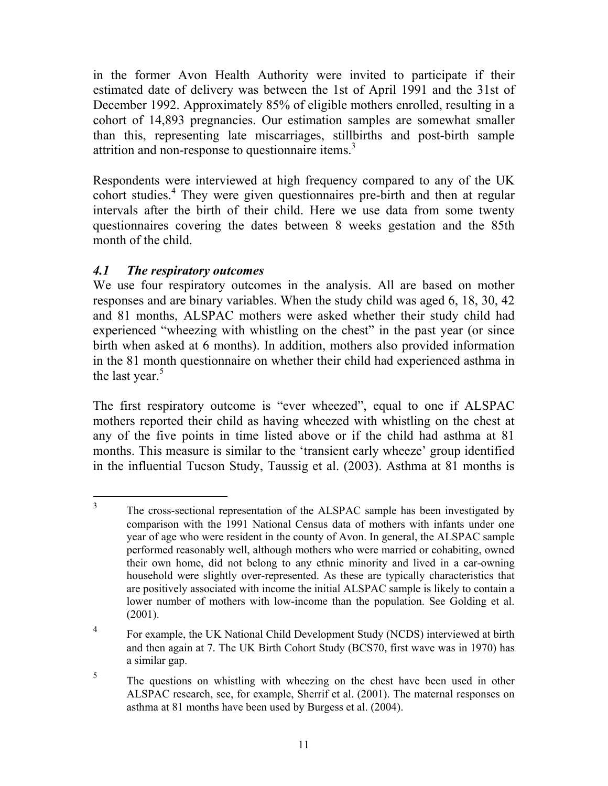in the former Avon Health Authority were invited to participate if their estimated date of delivery was between the 1st of April 1991 and the 31st of December 1992. Approximately 85% of eligible mothers enrolled, resulting in a cohort of 14,893 pregnancies. Our estimation samples are somewhat smaller than this, representing late miscarriages, stillbirths and post-birth sample attrition and non-response to questionnaire items.<sup>3</sup>

Respondents were interviewed at high frequency compared to any of the UK cohort studies.<sup>4</sup> They were given questionnaires pre-birth and then at regular intervals after the birth of their child. Here we use data from some twenty questionnaires covering the dates between 8 weeks gestation and the 85th month of the child.

#### *4.1 The respiratory outcomes*

We use four respiratory outcomes in the analysis. All are based on mother responses and are binary variables. When the study child was aged 6, 18, 30, 42 and 81 months, ALSPAC mothers were asked whether their study child had experienced "wheezing with whistling on the chest" in the past year (or since birth when asked at 6 months). In addition, mothers also provided information in the 81 month questionnaire on whether their child had experienced asthma in the last year. $5$ 

The first respiratory outcome is "ever wheezed", equal to one if ALSPAC mothers reported their child as having wheezed with whistling on the chest at any of the five points in time listed above or if the child had asthma at 81 months. This measure is similar to the 'transient early wheeze' group identified in the influential Tucson Study, Taussig et al. (2003). Asthma at 81 months is

 $\overline{a}$ 3 The cross-sectional representation of the ALSPAC sample has been investigated by comparison with the 1991 National Census data of mothers with infants under one year of age who were resident in the county of Avon. In general, the ALSPAC sample performed reasonably well, although mothers who were married or cohabiting, owned their own home, did not belong to any ethnic minority and lived in a car-owning household were slightly over-represented. As these are typically characteristics that are positively associated with income the initial ALSPAC sample is likely to contain a lower number of mothers with low-income than the population. See Golding et al. (2001).

<sup>4</sup> For example, the UK National Child Development Study (NCDS) interviewed at birth and then again at 7. The UK Birth Cohort Study (BCS70, first wave was in 1970) has a similar gap.

<sup>5</sup> The questions on whistling with wheezing on the chest have been used in other ALSPAC research, see, for example, Sherrif et al. (2001). The maternal responses on asthma at 81 months have been used by Burgess et al. (2004).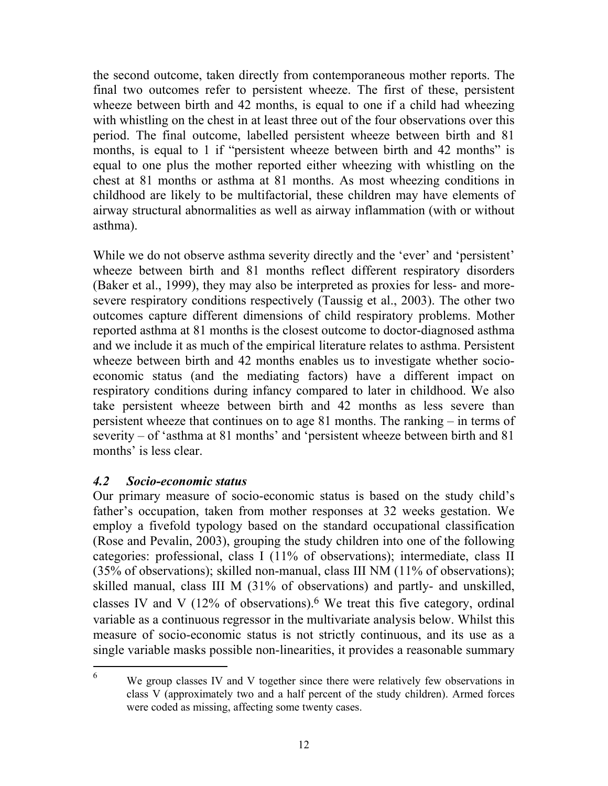the second outcome, taken directly from contemporaneous mother reports. The final two outcomes refer to persistent wheeze. The first of these, persistent wheeze between birth and 42 months, is equal to one if a child had wheezing with whistling on the chest in at least three out of the four observations over this period. The final outcome, labelled persistent wheeze between birth and 81 months, is equal to 1 if "persistent wheeze between birth and 42 months" is equal to one plus the mother reported either wheezing with whistling on the chest at 81 months or asthma at 81 months. As most wheezing conditions in childhood are likely to be multifactorial, these children may have elements of airway structural abnormalities as well as airway inflammation (with or without asthma).

While we do not observe asthma severity directly and the 'ever' and 'persistent' wheeze between birth and 81 months reflect different respiratory disorders (Baker et al., 1999), they may also be interpreted as proxies for less- and moresevere respiratory conditions respectively (Taussig et al., 2003). The other two outcomes capture different dimensions of child respiratory problems. Mother reported asthma at 81 months is the closest outcome to doctor-diagnosed asthma and we include it as much of the empirical literature relates to asthma. Persistent wheeze between birth and 42 months enables us to investigate whether socioeconomic status (and the mediating factors) have a different impact on respiratory conditions during infancy compared to later in childhood. We also take persistent wheeze between birth and 42 months as less severe than persistent wheeze that continues on to age 81 months. The ranking – in terms of severity – of 'asthma at 81 months' and 'persistent wheeze between birth and 81 months' is less clear.

#### *4.2 Socio-economic status*

-

Our primary measure of socio-economic status is based on the study child's father's occupation, taken from mother responses at 32 weeks gestation. We employ a fivefold typology based on the standard occupational classification (Rose and Pevalin, 2003), grouping the study children into one of the following categories: professional, class I (11% of observations); intermediate, class II (35% of observations); skilled non-manual, class III NM (11% of observations); skilled manual, class III M (31% of observations) and partly- and unskilled, classes IV and V  $(12\%$  of observations).<sup>6</sup> We treat this five category, ordinal variable as a continuous regressor in the multivariate analysis below. Whilst this measure of socio-economic status is not strictly continuous, and its use as a single variable masks possible non-linearities, it provides a reasonable summary

<sup>6</sup> We group classes IV and V together since there were relatively few observations in class V (approximately two and a half percent of the study children). Armed forces were coded as missing, affecting some twenty cases.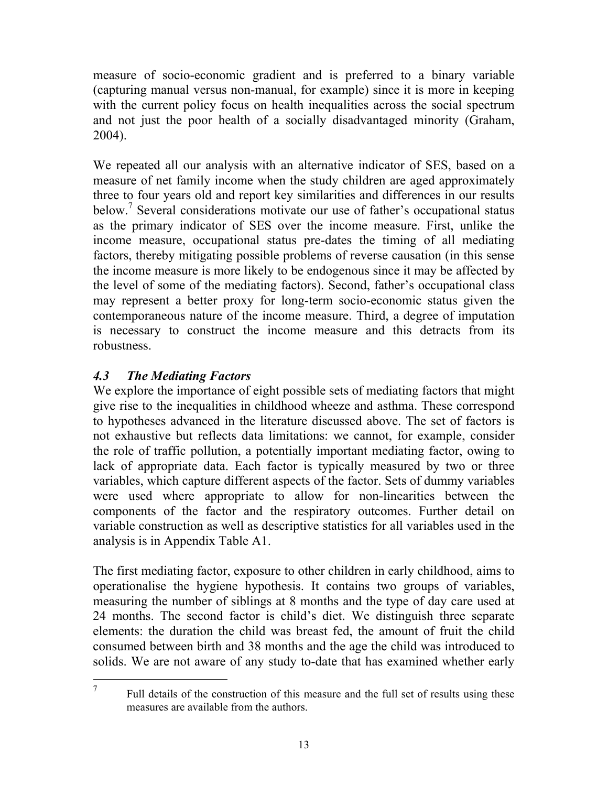measure of socio-economic gradient and is preferred to a binary variable (capturing manual versus non-manual, for example) since it is more in keeping with the current policy focus on health inequalities across the social spectrum and not just the poor health of a socially disadvantaged minority (Graham, 2004).

We repeated all our analysis with an alternative indicator of SES, based on a measure of net family income when the study children are aged approximately three to four years old and report key similarities and differences in our results below.<sup>7</sup> Several considerations motivate our use of father's occupational status as the primary indicator of SES over the income measure. First, unlike the income measure, occupational status pre-dates the timing of all mediating factors, thereby mitigating possible problems of reverse causation (in this sense the income measure is more likely to be endogenous since it may be affected by the level of some of the mediating factors). Second, father's occupational class may represent a better proxy for long-term socio-economic status given the contemporaneous nature of the income measure. Third, a degree of imputation is necessary to construct the income measure and this detracts from its robustness.

#### *4.3 The Mediating Factors*

 $\overline{a}$ 7

We explore the importance of eight possible sets of mediating factors that might give rise to the inequalities in childhood wheeze and asthma. These correspond to hypotheses advanced in the literature discussed above. The set of factors is not exhaustive but reflects data limitations: we cannot, for example, consider the role of traffic pollution, a potentially important mediating factor, owing to lack of appropriate data. Each factor is typically measured by two or three variables, which capture different aspects of the factor. Sets of dummy variables were used where appropriate to allow for non-linearities between the components of the factor and the respiratory outcomes. Further detail on variable construction as well as descriptive statistics for all variables used in the analysis is in Appendix Table A1.

The first mediating factor, exposure to other children in early childhood, aims to operationalise the hygiene hypothesis. It contains two groups of variables, measuring the number of siblings at 8 months and the type of day care used at 24 months. The second factor is child's diet. We distinguish three separate elements: the duration the child was breast fed, the amount of fruit the child consumed between birth and 38 months and the age the child was introduced to solids. We are not aware of any study to-date that has examined whether early

 Full details of the construction of this measure and the full set of results using these measures are available from the authors.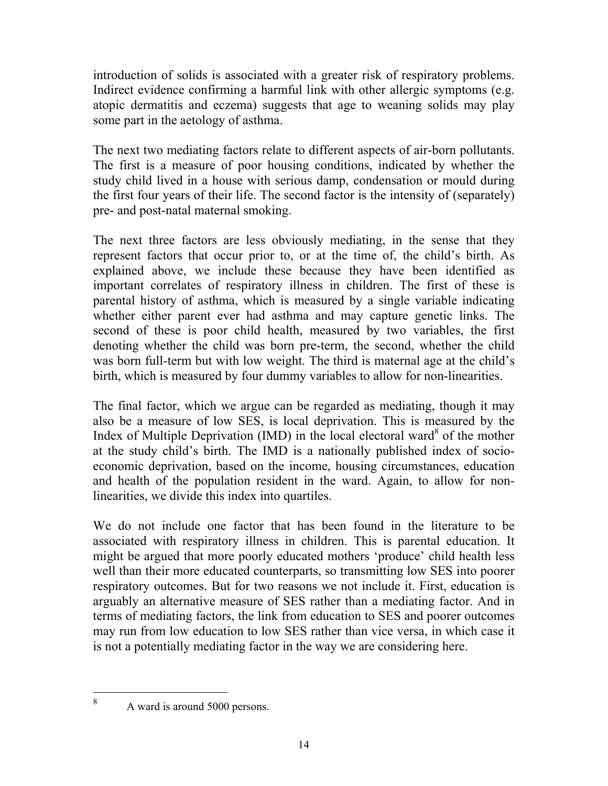introduction of solids is associated with a greater risk of respiratory problems. Indirect evidence confirming a harmful link with other allergic symptoms (e.g. atopic dermatitis and eczema) suggests that age to weaning solids may play some part in the aetology of asthma.

The next two mediating factors relate to different aspects of air-born pollutants. The first is a measure of poor housing conditions, indicated by whether the study child lived in a house with serious damp, condensation or mould during the first four years of their life. The second factor is the intensity of (separately) pre- and post-natal maternal smoking.

The next three factors are less obviously mediating, in the sense that they represent factors that occur prior to, or at the time of, the child's birth. As explained above, we include these because they have been identified as important correlates of respiratory illness in children. The first of these is parental history of asthma, which is measured by a single variable indicating whether either parent ever had asthma and may capture genetic links. The second of these is poor child health, measured by two variables, the first denoting whether the child was born pre-term, the second, whether the child was born full-term but with low weight. The third is maternal age at the child's birth, which is measured by four dummy variables to allow for non-linearities.

The final factor, which we argue can be regarded as mediating, though it may also be a measure of low SES, is local deprivation. This is measured by the Index of Multiple Deprivation (IMD) in the local electoral ward<sup>8</sup> of the mother at the study child's birth. The IMD is a nationally published index of socioeconomic deprivation, based on the income, housing circumstances, education and health of the population resident in the ward. Again, to allow for nonlinearities, we divide this index into quartiles.

We do not include one factor that has been found in the literature to be associated with respiratory illness in children. This is parental education. It might be argued that more poorly educated mothers 'produce' child health less well than their more educated counterparts, so transmitting low SES into poorer respiratory outcomes. But for two reasons we not include it. First, education is arguably an alternative measure of SES rather than a mediating factor. And in terms of mediating factors, the link from education to SES and poorer outcomes may run from low education to low SES rather than vice versa, in which case it is not a potentially mediating factor in the way we are considering here.

 $\overline{a}$ 8

A ward is around 5000 persons.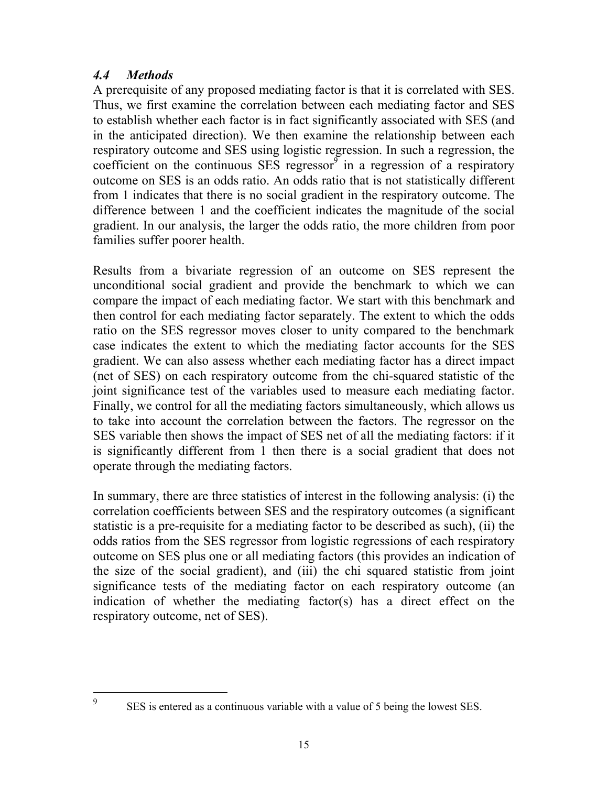#### *4.4 Methods*

 $\overline{a}$ 9

A prerequisite of any proposed mediating factor is that it is correlated with SES. Thus, we first examine the correlation between each mediating factor and SES to establish whether each factor is in fact significantly associated with SES (and in the anticipated direction). We then examine the relationship between each respiratory outcome and SES using logistic regression. In such a regression, the coefficient on the continuous SES regressor $\delta$  in a regression of a respiratory outcome on SES is an odds ratio. An odds ratio that is not statistically different from 1 indicates that there is no social gradient in the respiratory outcome. The difference between 1 and the coefficient indicates the magnitude of the social gradient. In our analysis, the larger the odds ratio, the more children from poor families suffer poorer health.

Results from a bivariate regression of an outcome on SES represent the unconditional social gradient and provide the benchmark to which we can compare the impact of each mediating factor. We start with this benchmark and then control for each mediating factor separately. The extent to which the odds ratio on the SES regressor moves closer to unity compared to the benchmark case indicates the extent to which the mediating factor accounts for the SES gradient. We can also assess whether each mediating factor has a direct impact (net of SES) on each respiratory outcome from the chi-squared statistic of the joint significance test of the variables used to measure each mediating factor. Finally, we control for all the mediating factors simultaneously, which allows us to take into account the correlation between the factors. The regressor on the SES variable then shows the impact of SES net of all the mediating factors: if it is significantly different from 1 then there is a social gradient that does not operate through the mediating factors.

In summary, there are three statistics of interest in the following analysis: (i) the correlation coefficients between SES and the respiratory outcomes (a significant statistic is a pre-requisite for a mediating factor to be described as such), (ii) the odds ratios from the SES regressor from logistic regressions of each respiratory outcome on SES plus one or all mediating factors (this provides an indication of the size of the social gradient), and (iii) the chi squared statistic from joint significance tests of the mediating factor on each respiratory outcome (an indication of whether the mediating factor(s) has a direct effect on the respiratory outcome, net of SES).

SES is entered as a continuous variable with a value of 5 being the lowest SES.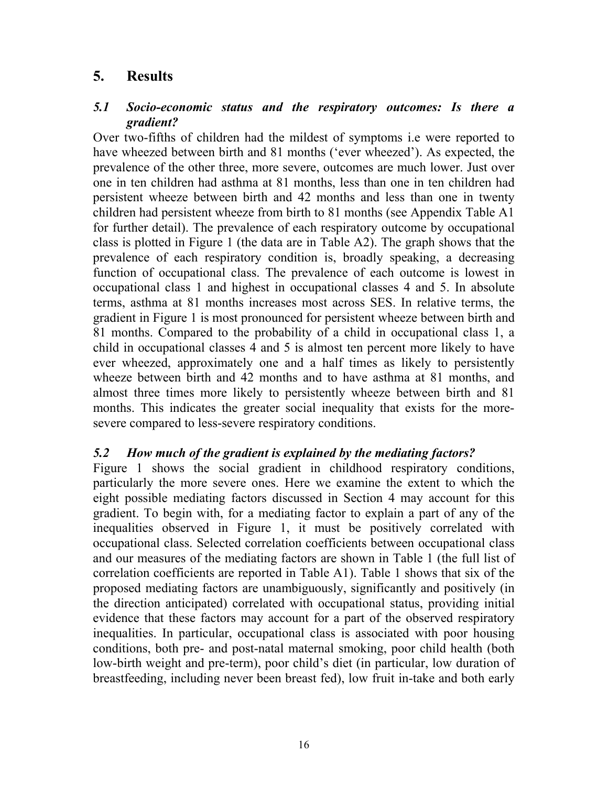#### **5. Results**

#### *5.1 Socio-economic status and the respiratory outcomes: Is there a gradient?*

Over two-fifths of children had the mildest of symptoms i.e were reported to have wheezed between birth and 81 months ('ever wheezed'). As expected, the prevalence of the other three, more severe, outcomes are much lower. Just over one in ten children had asthma at 81 months, less than one in ten children had persistent wheeze between birth and 42 months and less than one in twenty children had persistent wheeze from birth to 81 months (see Appendix Table A1 for further detail). The prevalence of each respiratory outcome by occupational class is plotted in Figure 1 (the data are in Table A2). The graph shows that the prevalence of each respiratory condition is, broadly speaking, a decreasing function of occupational class. The prevalence of each outcome is lowest in occupational class 1 and highest in occupational classes 4 and 5. In absolute terms, asthma at 81 months increases most across SES. In relative terms, the gradient in Figure 1 is most pronounced for persistent wheeze between birth and 81 months. Compared to the probability of a child in occupational class 1, a child in occupational classes 4 and 5 is almost ten percent more likely to have ever wheezed, approximately one and a half times as likely to persistently wheeze between birth and 42 months and to have asthma at 81 months, and almost three times more likely to persistently wheeze between birth and 81 months. This indicates the greater social inequality that exists for the moresevere compared to less-severe respiratory conditions.

#### *5.2 How much of the gradient is explained by the mediating factors?*

Figure 1 shows the social gradient in childhood respiratory conditions, particularly the more severe ones. Here we examine the extent to which the eight possible mediating factors discussed in Section 4 may account for this gradient. To begin with, for a mediating factor to explain a part of any of the inequalities observed in Figure 1, it must be positively correlated with occupational class. Selected correlation coefficients between occupational class and our measures of the mediating factors are shown in Table 1 (the full list of correlation coefficients are reported in Table A1). Table 1 shows that six of the proposed mediating factors are unambiguously, significantly and positively (in the direction anticipated) correlated with occupational status, providing initial evidence that these factors may account for a part of the observed respiratory inequalities. In particular, occupational class is associated with poor housing conditions, both pre- and post-natal maternal smoking, poor child health (both low-birth weight and pre-term), poor child's diet (in particular, low duration of breastfeeding, including never been breast fed), low fruit in-take and both early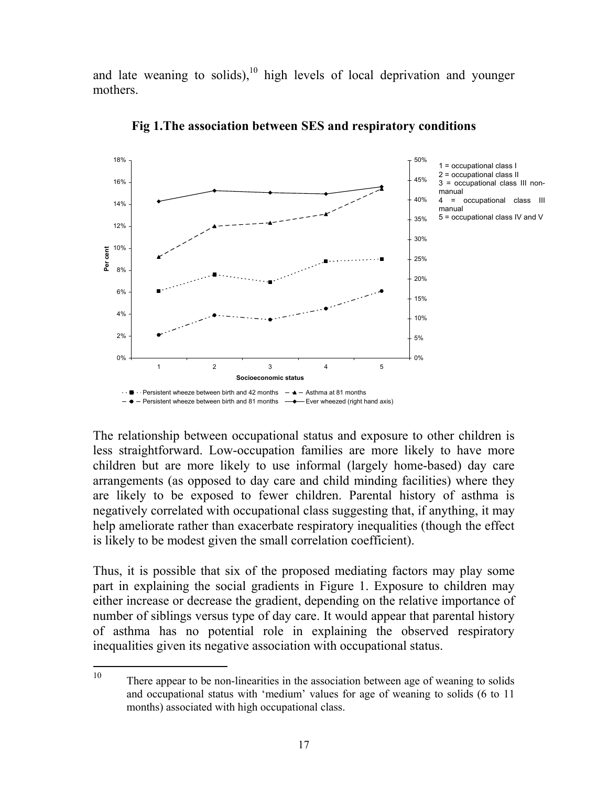and late weaning to solids),<sup>10</sup> high levels of local deprivation and younger mothers.



**Fig 1.The association between SES and respiratory conditions** 

The relationship between occupational status and exposure to other children is less straightforward. Low-occupation families are more likely to have more children but are more likely to use informal (largely home-based) day care arrangements (as opposed to day care and child minding facilities) where they are likely to be exposed to fewer children. Parental history of asthma is negatively correlated with occupational class suggesting that, if anything, it may help ameliorate rather than exacerbate respiratory inequalities (though the effect is likely to be modest given the small correlation coefficient).

Thus, it is possible that six of the proposed mediating factors may play some part in explaining the social gradients in Figure 1. Exposure to children may either increase or decrease the gradient, depending on the relative importance of number of siblings versus type of day care. It would appear that parental history of asthma has no potential role in explaining the observed respiratory inequalities given its negative association with occupational status.

<sup>10</sup> There appear to be non-linearities in the association between age of weaning to solids and occupational status with 'medium' values for age of weaning to solids (6 to 11 months) associated with high occupational class.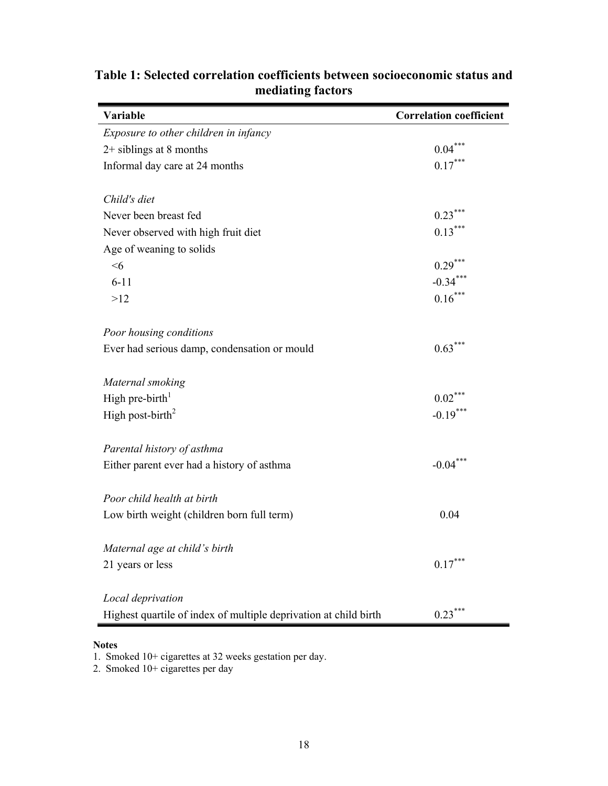| Variable                                                         | <b>Correlation coefficient</b> |
|------------------------------------------------------------------|--------------------------------|
| Exposure to other children in infancy                            |                                |
| $2+$ siblings at 8 months                                        | $0.04***$                      |
| Informal day care at 24 months                                   | $0.17***$                      |
| Child's diet                                                     |                                |
| Never been breast fed                                            | $0.23***$                      |
| Never observed with high fruit diet                              | $0.13***$                      |
| Age of weaning to solids                                         |                                |
| <6                                                               | $0.29***$                      |
| $6 - 11$                                                         | $-0.34***$                     |
| >12                                                              | $0.16***$                      |
| Poor housing conditions                                          |                                |
| Ever had serious damp, condensation or mould                     | $0.63***$                      |
|                                                                  |                                |
| Maternal smoking                                                 |                                |
| High pre-birth <sup>1</sup>                                      | $0.02***$                      |
| High post-birth <sup>2</sup>                                     | $-0.19***$                     |
| Parental history of asthma                                       |                                |
| Either parent ever had a history of asthma                       | $-0.04***$                     |
|                                                                  |                                |
| Poor child health at birth                                       |                                |
| Low birth weight (children born full term)                       | 0.04                           |
| Maternal age at child's birth                                    |                                |
| 21 years or less                                                 | $0.17***$                      |
|                                                                  |                                |
| Local deprivation                                                |                                |
| Highest quartile of index of multiple deprivation at child birth | $0.23***$                      |

### **Table 1: Selected correlation coefficients between socioeconomic status and mediating factors**

#### **Notes**

1. Smoked 10+ cigarettes at 32 weeks gestation per day.

2. Smoked 10+ cigarettes per day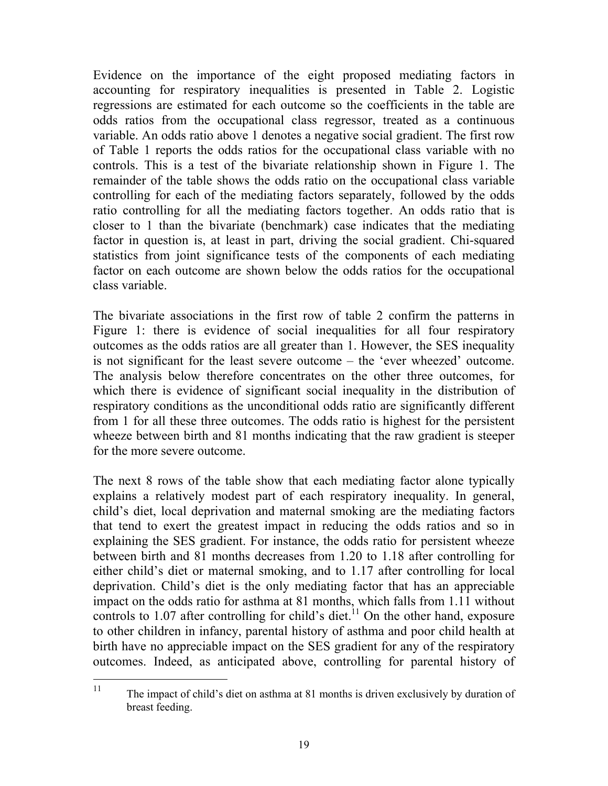Evidence on the importance of the eight proposed mediating factors in accounting for respiratory inequalities is presented in Table 2. Logistic regressions are estimated for each outcome so the coefficients in the table are odds ratios from the occupational class regressor, treated as a continuous variable. An odds ratio above 1 denotes a negative social gradient. The first row of Table 1 reports the odds ratios for the occupational class variable with no controls. This is a test of the bivariate relationship shown in Figure 1. The remainder of the table shows the odds ratio on the occupational class variable controlling for each of the mediating factors separately, followed by the odds ratio controlling for all the mediating factors together. An odds ratio that is closer to 1 than the bivariate (benchmark) case indicates that the mediating factor in question is, at least in part, driving the social gradient. Chi-squared statistics from joint significance tests of the components of each mediating factor on each outcome are shown below the odds ratios for the occupational class variable.

The bivariate associations in the first row of table 2 confirm the patterns in Figure 1: there is evidence of social inequalities for all four respiratory outcomes as the odds ratios are all greater than 1. However, the SES inequality is not significant for the least severe outcome – the 'ever wheezed' outcome. The analysis below therefore concentrates on the other three outcomes, for which there is evidence of significant social inequality in the distribution of respiratory conditions as the unconditional odds ratio are significantly different from 1 for all these three outcomes. The odds ratio is highest for the persistent wheeze between birth and 81 months indicating that the raw gradient is steeper for the more severe outcome.

The next 8 rows of the table show that each mediating factor alone typically explains a relatively modest part of each respiratory inequality. In general, child's diet, local deprivation and maternal smoking are the mediating factors that tend to exert the greatest impact in reducing the odds ratios and so in explaining the SES gradient. For instance, the odds ratio for persistent wheeze between birth and 81 months decreases from 1.20 to 1.18 after controlling for either child's diet or maternal smoking, and to 1.17 after controlling for local deprivation. Child's diet is the only mediating factor that has an appreciable impact on the odds ratio for asthma at 81 months, which falls from 1.11 without controls to  $1.07$  after controlling for child's diet.<sup>11</sup> On the other hand, exposure to other children in infancy, parental history of asthma and poor child health at birth have no appreciable impact on the SES gradient for any of the respiratory outcomes. Indeed, as anticipated above, controlling for parental history of

 $11$ 11 The impact of child's diet on asthma at 81 months is driven exclusively by duration of breast feeding.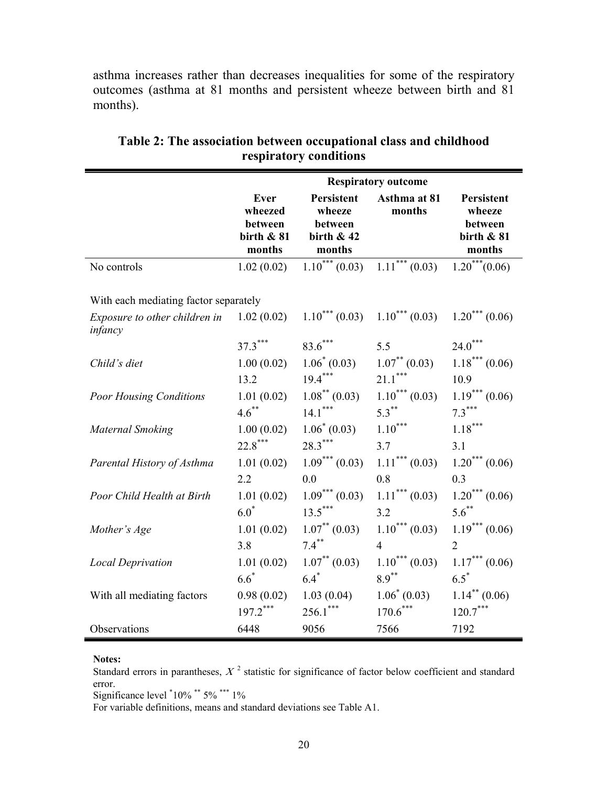asthma increases rather than decreases inequalities for some of the respiratory outcomes (asthma at 81 months and persistent wheeze between birth and 81 months).

|                                                                        | <b>Respiratory outcome</b>                                  |                                                                  |                        |                                                           |  |
|------------------------------------------------------------------------|-------------------------------------------------------------|------------------------------------------------------------------|------------------------|-----------------------------------------------------------|--|
|                                                                        | <b>Ever</b><br>wheezed<br>between<br>birth $& 81$<br>months | <b>Persistent</b><br>wheeze<br>between<br>birth $& 42$<br>months | Asthma at 81<br>months | Persistent<br>wheeze<br>between<br>birth $& 81$<br>months |  |
| No controls                                                            | 1.02(0.02)                                                  | $\overline{1.10}^{***}$ (0.03)                                   | $1.11***(0.03)$        | $\overline{1.20}^{***}$ (0.06)                            |  |
| With each mediating factor separately<br>Exposure to other children in | 1.02(0.02)                                                  | $1.10^{***}$ (0.03)                                              | $1.10^{***}$ (0.03)    | $1.20^{***}$ (0.06)                                       |  |
| infancy                                                                |                                                             |                                                                  |                        |                                                           |  |
|                                                                        | $37.3***$                                                   | $83.6***$                                                        | 5.5                    | $24.0***$                                                 |  |
| Child's diet                                                           | 1.00(0.02)                                                  | $1.06^* (0.03)$                                                  | $1.07^{**}$ (0.03)     | $1.18***(0.06)$                                           |  |
|                                                                        | 13.2                                                        | $19.4***$                                                        | $21.1***$              | 10.9                                                      |  |
| <b>Poor Housing Conditions</b>                                         | 1.01(0.02)                                                  | $1.08$ <sup>**</sup> (0.03)                                      | $1.10***(0.03)$        | $1.19***(0.06)$                                           |  |
|                                                                        | $4.6***$                                                    | $14.1***$                                                        | $5.3***$               | $7.3***$                                                  |  |
| <b>Maternal Smoking</b>                                                | 1.00(0.02)                                                  | $1.06^*(0.03)$                                                   | $1.10***$              | $1.18***$                                                 |  |
|                                                                        | $22.8***$                                                   | $28.3***$                                                        | 3.7                    | 3.1                                                       |  |
| Parental History of Asthma                                             | 1.01(0.02)                                                  | $1.09***(0.03)$                                                  | $1.11***(0.03)$        | $1.20***(0.06)$                                           |  |
|                                                                        | 2.2                                                         | 0.0                                                              | 0.8                    | 0.3                                                       |  |
| Poor Child Health at Birth                                             | 1.01(0.02)                                                  | $1.09***(0.03)$                                                  | $1.11***(0.03)$        | $1.20***(0.06)$                                           |  |
|                                                                        | $6.0^*$                                                     | $13.5***$                                                        | 3.2                    | $5.6***$                                                  |  |
| Mother's Age                                                           | 1.01(0.02)                                                  | $1.07^{**}$ (0.03)                                               | $1.10***(0.03)$        | $1.19***(0.06)$                                           |  |
|                                                                        | 3.8                                                         | $7.4***$                                                         | $\overline{4}$         | $\overline{2}$                                            |  |
| <b>Local Deprivation</b>                                               | 1.01(0.02)                                                  | $1.07^{**}$ (0.03)                                               | $1.10***(0.03)$        | $1.17***(0.06)$                                           |  |
|                                                                        | $6.6*$                                                      | $6.4*$                                                           | $8.9***$               | $6.5^*$                                                   |  |
| With all mediating factors                                             | 0.98(0.02)                                                  | 1.03(0.04)                                                       | $1.06^*(0.03)$         | $1.14$ <sup>**</sup> (0.06)                               |  |
|                                                                        | $197.2***$                                                  | $256.1***$                                                       | $170.6***$             | $120.7***$                                                |  |
| Observations                                                           | 6448                                                        | 9056                                                             | 7566                   | 7192                                                      |  |

**Table 2: The association between occupational class and childhood respiratory conditions** 

#### **Notes:**

Standard errors in parantheses,  $X<sup>2</sup>$  statistic for significance of factor below coefficient and standard error.

Significance level  $10\%$  \*\*  $5\%$  \*\*\* 1%

For variable definitions, means and standard deviations see Table A1.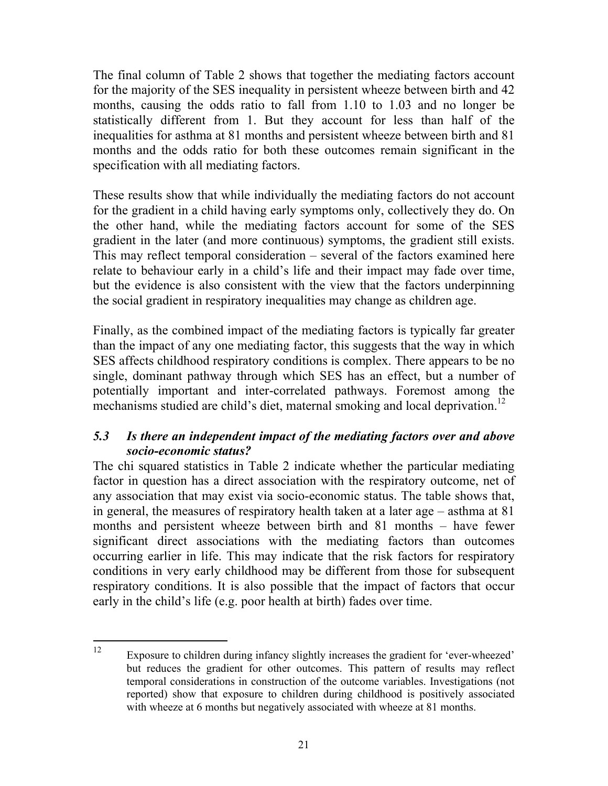The final column of Table 2 shows that together the mediating factors account for the majority of the SES inequality in persistent wheeze between birth and 42 months, causing the odds ratio to fall from 1.10 to 1.03 and no longer be statistically different from 1. But they account for less than half of the inequalities for asthma at 81 months and persistent wheeze between birth and 81 months and the odds ratio for both these outcomes remain significant in the specification with all mediating factors.

These results show that while individually the mediating factors do not account for the gradient in a child having early symptoms only, collectively they do. On the other hand, while the mediating factors account for some of the SES gradient in the later (and more continuous) symptoms, the gradient still exists. This may reflect temporal consideration – several of the factors examined here relate to behaviour early in a child's life and their impact may fade over time, but the evidence is also consistent with the view that the factors underpinning the social gradient in respiratory inequalities may change as children age.

Finally, as the combined impact of the mediating factors is typically far greater than the impact of any one mediating factor, this suggests that the way in which SES affects childhood respiratory conditions is complex. There appears to be no single, dominant pathway through which SES has an effect, but a number of potentially important and inter-correlated pathways. Foremost among the mechanisms studied are child's diet, maternal smoking and local deprivation.<sup>12</sup>

#### *5.3 Is there an independent impact of the mediating factors over and above socio-economic status?*

The chi squared statistics in Table 2 indicate whether the particular mediating factor in question has a direct association with the respiratory outcome, net of any association that may exist via socio-economic status. The table shows that, in general, the measures of respiratory health taken at a later age – asthma at 81 months and persistent wheeze between birth and 81 months – have fewer significant direct associations with the mediating factors than outcomes occurring earlier in life. This may indicate that the risk factors for respiratory conditions in very early childhood may be different from those for subsequent respiratory conditions. It is also possible that the impact of factors that occur early in the child's life (e.g. poor health at birth) fades over time.

 $12$ Exposure to children during infancy slightly increases the gradient for 'ever-wheezed' but reduces the gradient for other outcomes. This pattern of results may reflect temporal considerations in construction of the outcome variables. Investigations (not reported) show that exposure to children during childhood is positively associated with wheeze at 6 months but negatively associated with wheeze at 81 months.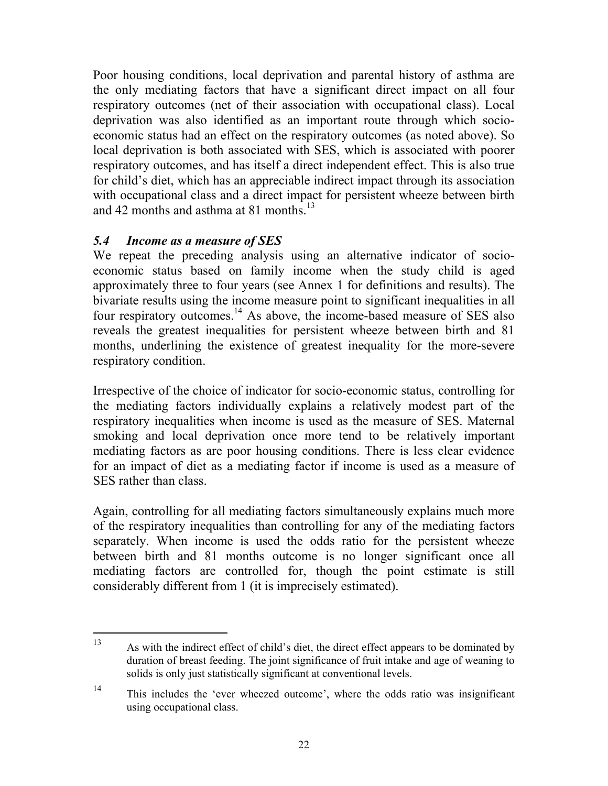Poor housing conditions, local deprivation and parental history of asthma are the only mediating factors that have a significant direct impact on all four respiratory outcomes (net of their association with occupational class). Local deprivation was also identified as an important route through which socioeconomic status had an effect on the respiratory outcomes (as noted above). So local deprivation is both associated with SES, which is associated with poorer respiratory outcomes, and has itself a direct independent effect. This is also true for child's diet, which has an appreciable indirect impact through its association with occupational class and a direct impact for persistent wheeze between birth and 42 months and asthma at 81 months.<sup>13</sup>

#### *5.4 Income as a measure of SES*

We repeat the preceding analysis using an alternative indicator of socioeconomic status based on family income when the study child is aged approximately three to four years (see Annex 1 for definitions and results). The bivariate results using the income measure point to significant inequalities in all four respiratory outcomes.14 As above, the income-based measure of SES also reveals the greatest inequalities for persistent wheeze between birth and 81 months, underlining the existence of greatest inequality for the more-severe respiratory condition.

Irrespective of the choice of indicator for socio-economic status, controlling for the mediating factors individually explains a relatively modest part of the respiratory inequalities when income is used as the measure of SES. Maternal smoking and local deprivation once more tend to be relatively important mediating factors as are poor housing conditions. There is less clear evidence for an impact of diet as a mediating factor if income is used as a measure of SES rather than class.

Again, controlling for all mediating factors simultaneously explains much more of the respiratory inequalities than controlling for any of the mediating factors separately. When income is used the odds ratio for the persistent wheeze between birth and 81 months outcome is no longer significant once all mediating factors are controlled for, though the point estimate is still considerably different from 1 (it is imprecisely estimated).

<sup>13</sup> 13 As with the indirect effect of child's diet, the direct effect appears to be dominated by duration of breast feeding. The joint significance of fruit intake and age of weaning to solids is only just statistically significant at conventional levels.

<sup>14</sup> This includes the 'ever wheezed outcome', where the odds ratio was insignificant using occupational class.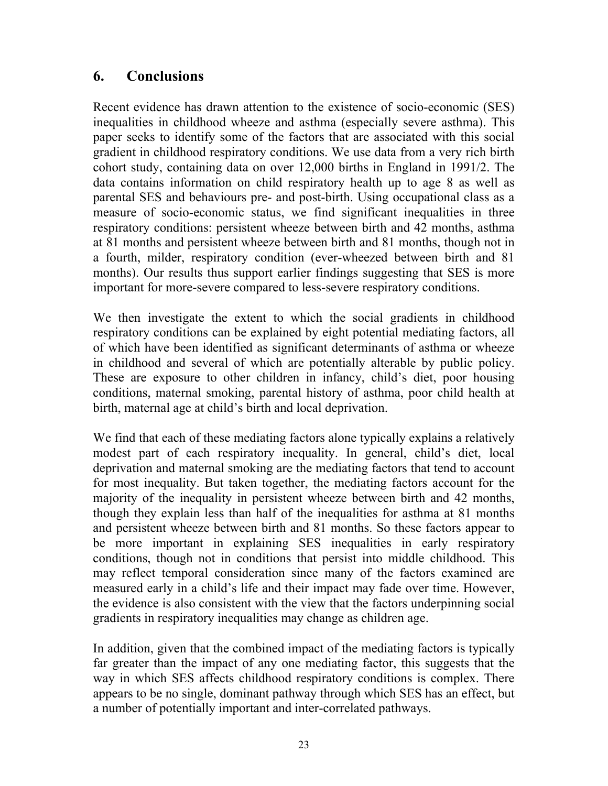### **6. Conclusions**

Recent evidence has drawn attention to the existence of socio-economic (SES) inequalities in childhood wheeze and asthma (especially severe asthma). This paper seeks to identify some of the factors that are associated with this social gradient in childhood respiratory conditions. We use data from a very rich birth cohort study, containing data on over 12,000 births in England in 1991/2. The data contains information on child respiratory health up to age 8 as well as parental SES and behaviours pre- and post-birth. Using occupational class as a measure of socio-economic status, we find significant inequalities in three respiratory conditions: persistent wheeze between birth and 42 months, asthma at 81 months and persistent wheeze between birth and 81 months, though not in a fourth, milder, respiratory condition (ever-wheezed between birth and 81 months). Our results thus support earlier findings suggesting that SES is more important for more-severe compared to less-severe respiratory conditions.

We then investigate the extent to which the social gradients in childhood respiratory conditions can be explained by eight potential mediating factors, all of which have been identified as significant determinants of asthma or wheeze in childhood and several of which are potentially alterable by public policy. These are exposure to other children in infancy, child's diet, poor housing conditions, maternal smoking, parental history of asthma, poor child health at birth, maternal age at child's birth and local deprivation.

We find that each of these mediating factors alone typically explains a relatively modest part of each respiratory inequality. In general, child's diet, local deprivation and maternal smoking are the mediating factors that tend to account for most inequality. But taken together, the mediating factors account for the majority of the inequality in persistent wheeze between birth and 42 months, though they explain less than half of the inequalities for asthma at 81 months and persistent wheeze between birth and 81 months. So these factors appear to be more important in explaining SES inequalities in early respiratory conditions, though not in conditions that persist into middle childhood. This may reflect temporal consideration since many of the factors examined are measured early in a child's life and their impact may fade over time. However, the evidence is also consistent with the view that the factors underpinning social gradients in respiratory inequalities may change as children age.

In addition, given that the combined impact of the mediating factors is typically far greater than the impact of any one mediating factor, this suggests that the way in which SES affects childhood respiratory conditions is complex. There appears to be no single, dominant pathway through which SES has an effect, but a number of potentially important and inter-correlated pathways.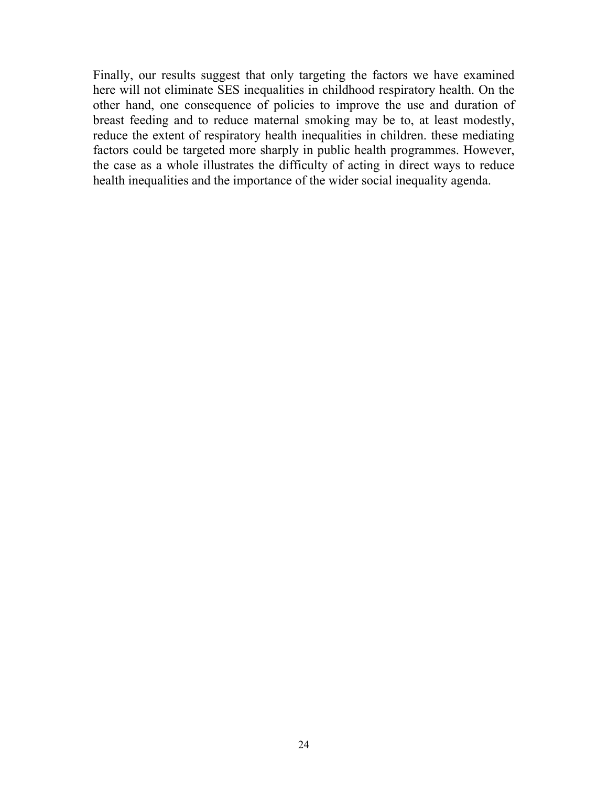Finally, our results suggest that only targeting the factors we have examined here will not eliminate SES inequalities in childhood respiratory health. On the other hand, one consequence of policies to improve the use and duration of breast feeding and to reduce maternal smoking may be to, at least modestly, reduce the extent of respiratory health inequalities in children. these mediating factors could be targeted more sharply in public health programmes. However, the case as a whole illustrates the difficulty of acting in direct ways to reduce health inequalities and the importance of the wider social inequality agenda.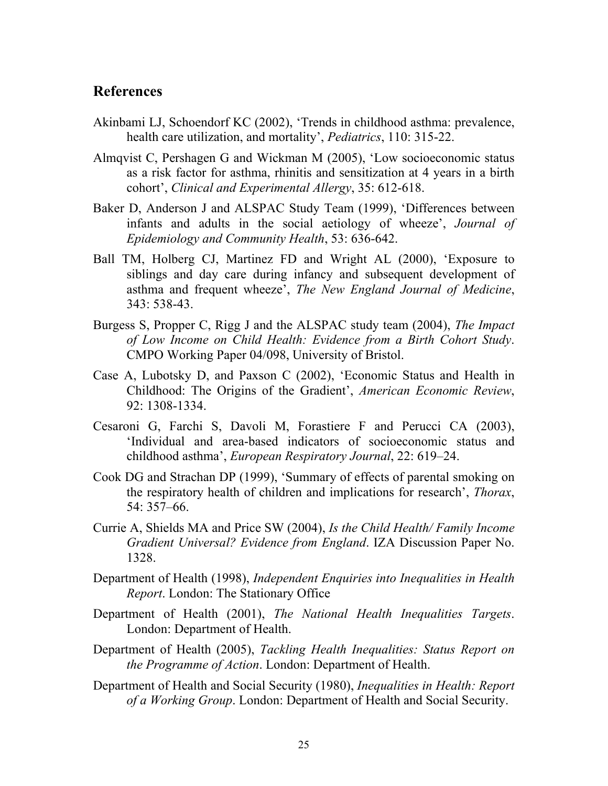#### **References**

- Akinbami LJ, Schoendorf KC (2002), 'Trends in childhood asthma: prevalence, health care utilization, and mortality', *Pediatrics*, 110: 315-22.
- Almqvist C, Pershagen G and Wickman M (2005), 'Low socioeconomic status as a risk factor for asthma, rhinitis and sensitization at 4 years in a birth cohort', *Clinical and Experimental Allergy*, 35: 612-618.
- Baker D, Anderson J and ALSPAC Study Team (1999), 'Differences between infants and adults in the social aetiology of wheeze', *Journal of Epidemiology and Community Health*, 53: 636-642.
- Ball TM, Holberg CJ, Martinez FD and Wright AL (2000), 'Exposure to siblings and day care during infancy and subsequent development of asthma and frequent wheeze', *The New England Journal of Medicine*, 343: 538-43.
- Burgess S, Propper C, Rigg J and the ALSPAC study team (2004), *The Impact of Low Income on Child Health: Evidence from a Birth Cohort Study*. CMPO Working Paper 04/098, University of Bristol.
- Case A, Lubotsky D, and Paxson C (2002), 'Economic Status and Health in Childhood: The Origins of the Gradient', *American Economic Review*, 92: 1308-1334.
- Cesaroni G, Farchi S, Davoli M, Forastiere F and Perucci CA (2003), 'Individual and area-based indicators of socioeconomic status and childhood asthma', *European Respiratory Journal*, 22: 619–24.
- Cook DG and Strachan DP (1999), 'Summary of effects of parental smoking on the respiratory health of children and implications for research', *Thorax*, 54: 357–66.
- Currie A, Shields MA and Price SW (2004), *Is the Child Health/ Family Income Gradient Universal? Evidence from England*. IZA Discussion Paper No. 1328.
- Department of Health (1998), *Independent Enquiries into Inequalities in Health Report*. London: The Stationary Office
- Department of Health (2001), *The National Health Inequalities Targets*. London: Department of Health.
- Department of Health (2005), *Tackling Health Inequalities: Status Report on the Programme of Action*. London: Department of Health.
- Department of Health and Social Security (1980), *Inequalities in Health: Report of a Working Group*. London: Department of Health and Social Security.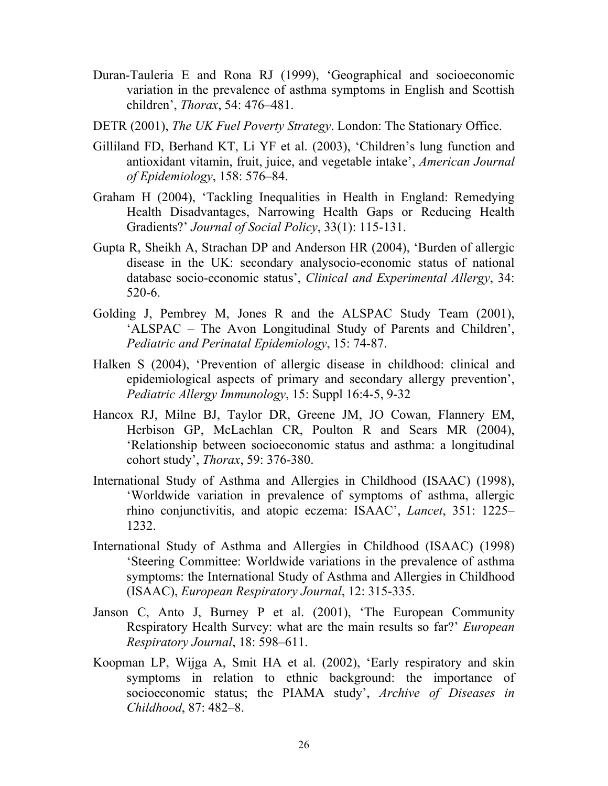- Duran-Tauleria E and Rona RJ (1999), 'Geographical and socioeconomic variation in the prevalence of asthma symptoms in English and Scottish children', *Thorax*, 54: 476–481.
- DETR (2001), *The UK Fuel Poverty Strategy*. London: The Stationary Office.
- Gilliland FD, Berhand KT, Li YF et al. (2003), 'Children's lung function and antioxidant vitamin, fruit, juice, and vegetable intake', *American Journal of Epidemiology*, 158: 576–84.
- Graham H (2004), 'Tackling Inequalities in Health in England: Remedying Health Disadvantages, Narrowing Health Gaps or Reducing Health Gradients?' *Journal of Social Policy*, 33(1): 115-131.
- Gupta R, Sheikh A, Strachan DP and Anderson HR (2004), 'Burden of allergic disease in the UK: secondary analysocio-economic status of national database socio-economic status', *Clinical and Experimental Allergy*, 34: 520-6.
- Golding J, Pembrey M, Jones R and the ALSPAC Study Team (2001), 'ALSPAC – The Avon Longitudinal Study of Parents and Children', *Pediatric and Perinatal Epidemiology*, 15: 74-87.
- Halken S (2004), 'Prevention of allergic disease in childhood: clinical and epidemiological aspects of primary and secondary allergy prevention', *Pediatric Allergy Immunology*, 15: Suppl 16:4-5, 9-32
- Hancox RJ, Milne BJ, Taylor DR, Greene JM, JO Cowan, Flannery EM, Herbison GP, McLachlan CR, Poulton R and Sears MR (2004), 'Relationship between socioeconomic status and asthma: a longitudinal cohort study', *Thorax*, 59: 376-380.
- International Study of Asthma and Allergies in Childhood (ISAAC) (1998), 'Worldwide variation in prevalence of symptoms of asthma, allergic rhino conjunctivitis, and atopic eczema: ISAAC', *Lancet*, 351: 1225– 1232.
- International Study of Asthma and Allergies in Childhood (ISAAC) (1998) 'Steering Committee: Worldwide variations in the prevalence of asthma symptoms: the International Study of Asthma and Allergies in Childhood (ISAAC), *European Respiratory Journal*, 12: 315-335.
- Janson C, Anto J, Burney P et al. (2001), 'The European Community Respiratory Health Survey: what are the main results so far?' *European Respiratory Journal*, 18: 598–611.
- Koopman LP, Wijga A, Smit HA et al. (2002), 'Early respiratory and skin symptoms in relation to ethnic background: the importance of socioeconomic status; the PIAMA study', *Archive of Diseases in Childhood*, 87: 482–8.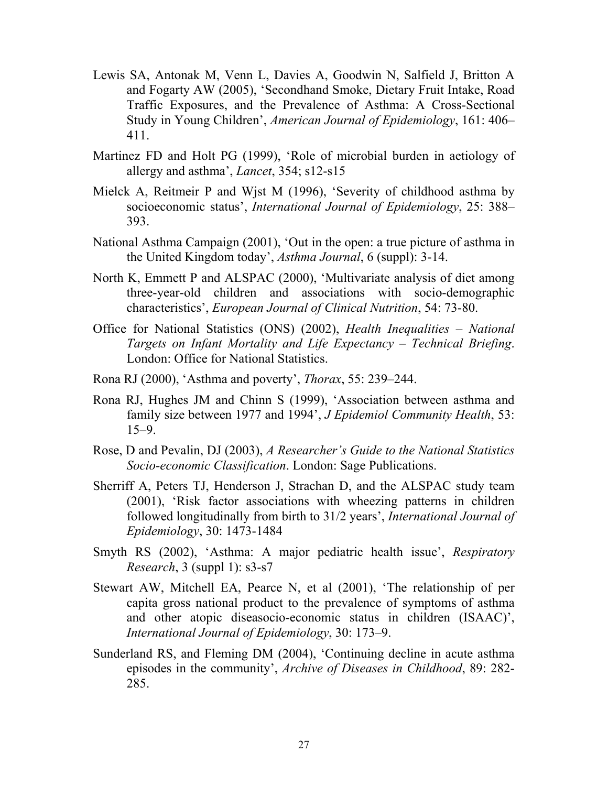- Lewis SA, Antonak M, Venn L, Davies A, Goodwin N, Salfield J, Britton A and Fogarty AW (2005), 'Secondhand Smoke, Dietary Fruit Intake, Road Traffic Exposures, and the Prevalence of Asthma: A Cross-Sectional Study in Young Children', *American Journal of Epidemiology*, 161: 406– 411.
- Martinez FD and Holt PG (1999), 'Role of microbial burden in aetiology of allergy and asthma', *Lancet*, 354; s12-s15
- Mielck A, Reitmeir P and Wjst M (1996), 'Severity of childhood asthma by socioeconomic status', *International Journal of Epidemiology*, 25: 388– 393.
- National Asthma Campaign (2001), 'Out in the open: a true picture of asthma in the United Kingdom today', *Asthma Journal*, 6 (suppl): 3-14.
- North K, Emmett P and ALSPAC (2000), 'Multivariate analysis of diet among three-year-old children and associations with socio-demographic characteristics', *European Journal of Clinical Nutrition*, 54: 73-80.
- Office for National Statistics (ONS) (2002), *Health Inequalities National Targets on Infant Mortality and Life Expectancy – Technical Briefing*. London: Office for National Statistics.
- Rona RJ (2000), 'Asthma and poverty', *Thorax*, 55: 239–244.
- Rona RJ, Hughes JM and Chinn S (1999), 'Association between asthma and family size between 1977 and 1994', *J Epidemiol Community Health*, 53:  $15-9.$
- Rose, D and Pevalin, DJ (2003), *A Researcher's Guide to the National Statistics Socio-economic Classification*. London: Sage Publications.
- Sherriff A, Peters TJ, Henderson J, Strachan D, and the ALSPAC study team (2001), 'Risk factor associations with wheezing patterns in children followed longitudinally from birth to 31/2 years', *International Journal of Epidemiology*, 30: 1473-1484
- Smyth RS (2002), 'Asthma: A major pediatric health issue', *Respiratory Research*, 3 (suppl 1): s3-s7
- Stewart AW, Mitchell EA, Pearce N, et al (2001), 'The relationship of per capita gross national product to the prevalence of symptoms of asthma and other atopic diseasocio-economic status in children (ISAAC)', *International Journal of Epidemiology*, 30: 173–9.
- Sunderland RS, and Fleming DM (2004), 'Continuing decline in acute asthma episodes in the community', *Archive of Diseases in Childhood*, 89: 282- 285.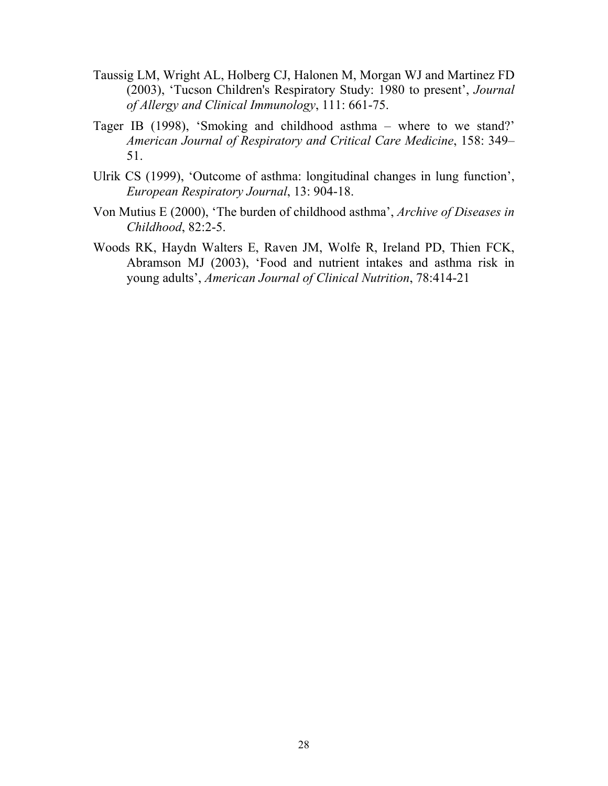- Taussig LM, Wright AL, Holberg CJ, Halonen M, Morgan WJ and Martinez FD (2003), 'Tucson Children's Respiratory Study: 1980 to present', *Journal of Allergy and Clinical Immunology*, 111: 661-75.
- Tager IB (1998), 'Smoking and childhood asthma where to we stand?' *American Journal of Respiratory and Critical Care Medicine*, 158: 349– 51.
- Ulrik CS (1999), 'Outcome of asthma: longitudinal changes in lung function', *European Respiratory Journal*, 13: 904-18.
- Von Mutius E (2000), 'The burden of childhood asthma', *Archive of Diseases in Childhood*, 82:2-5.
- Woods RK, Haydn Walters E, Raven JM, Wolfe R, Ireland PD, Thien FCK, Abramson MJ (2003), 'Food and nutrient intakes and asthma risk in young adults', *American Journal of Clinical Nutrition*, 78:414-21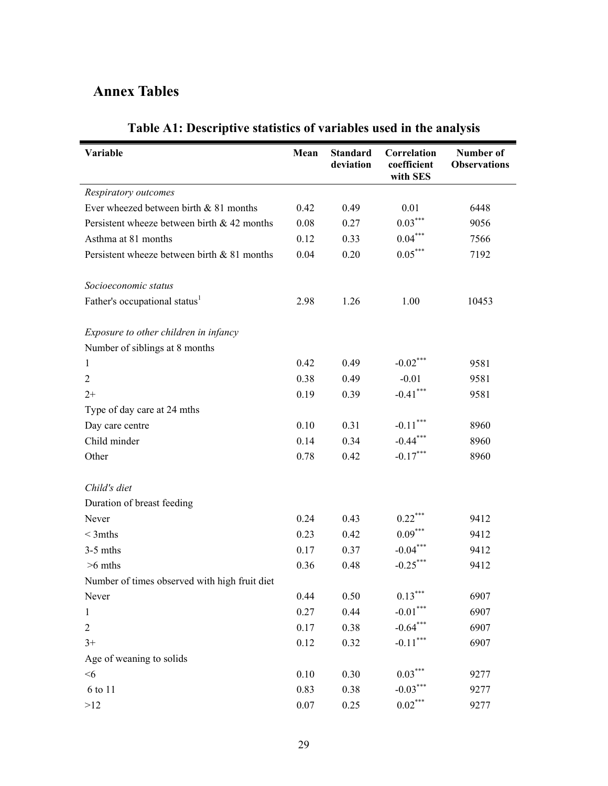# **Annex Tables**

| Variable                                      | Mean     | <b>Standard</b><br>deviation | Correlation<br>coefficient<br>with SES | Number of<br><b>Observations</b> |
|-----------------------------------------------|----------|------------------------------|----------------------------------------|----------------------------------|
| Respiratory outcomes                          |          |                              |                                        |                                  |
| Ever wheezed between birth $& 81$ months      | 0.42     | 0.49                         | 0.01                                   | 6448                             |
| Persistent wheeze between birth $& 42$ months | 0.08     | 0.27                         | $0.03***$                              | 9056                             |
| Asthma at 81 months                           | 0.12     | 0.33                         | $0.04***$                              | 7566                             |
| Persistent wheeze between birth & 81 months   | 0.04     | 0.20                         | $0.05***$                              | 7192                             |
| Socioeconomic status                          |          |                              |                                        |                                  |
| Father's occupational status <sup>1</sup>     | 2.98     | 1.26                         | 1.00                                   | 10453                            |
| Exposure to other children in infancy         |          |                              |                                        |                                  |
| Number of siblings at 8 months                |          |                              |                                        |                                  |
| $\mathbf{1}$                                  | 0.42     | 0.49                         | $-0.02$ ***                            | 9581                             |
| $\overline{2}$                                | 0.38     | 0.49                         | $-0.01$                                | 9581                             |
| $2+$                                          | 0.19     | 0.39                         | $-0.41$ ***                            | 9581                             |
| Type of day care at 24 mths                   |          |                              |                                        |                                  |
| Day care centre                               | 0.10     | 0.31                         | $-0.11$ ***                            | 8960                             |
| Child minder                                  | 0.14     | 0.34                         | $-0.44***$                             | 8960                             |
| Other                                         | 0.78     | 0.42                         | $-0.17***$                             | 8960                             |
| Child's diet                                  |          |                              |                                        |                                  |
| Duration of breast feeding                    |          |                              |                                        |                                  |
| Never                                         | 0.24     | 0.43                         | $0.22$ ***                             | 9412                             |
| $<$ 3mths                                     | 0.23     | 0.42                         | $0.09***$                              | 9412                             |
| $3-5$ mths                                    | 0.17     | 0.37                         | $-0.04***$                             | 9412                             |
| $>6$ mths                                     | 0.36     | 0.48                         | $-0.25^*$                              | 9412                             |
| Number of times observed with high fruit diet |          |                              |                                        |                                  |
| Never                                         | 0.44     | 0.50                         | $0.13***$                              | 6907                             |
| $\mathbf{1}$                                  | 0.27     | 0.44                         | $-0.01***$                             | 6907                             |
| $\sqrt{2}$                                    | 0.17     | 0.38                         | $-0.64***$                             | 6907                             |
| $3+$                                          | 0.12     | 0.32                         | $-0.11***$                             | 6907                             |
| Age of weaning to solids                      |          |                              |                                        |                                  |
| $<$ 6                                         | 0.10     | 0.30                         | $0.03***$                              | 9277                             |
| 6 to 11                                       | 0.83     | 0.38                         | $-0.03***$                             | 9277                             |
| >12                                           | $0.07\,$ | 0.25                         | $0.02^{\ast\ast\ast}$                  | 9277                             |

# **Table A1: Descriptive statistics of variables used in the analysis**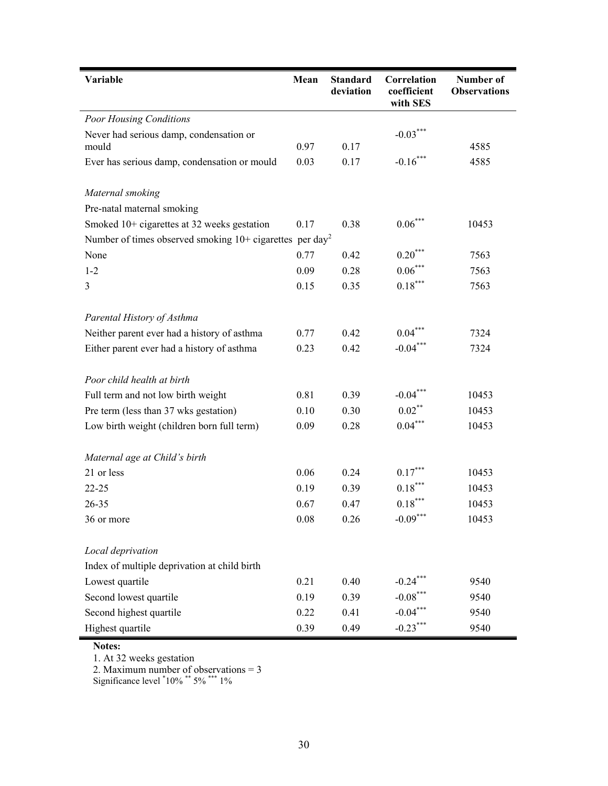| Variable                                                               | Mean | <b>Standard</b><br>deviation | Correlation<br>coefficient<br>with SES | <b>Number of</b><br><b>Observations</b> |
|------------------------------------------------------------------------|------|------------------------------|----------------------------------------|-----------------------------------------|
| <b>Poor Housing Conditions</b>                                         |      |                              |                                        |                                         |
| Never had serious damp, condensation or                                |      |                              | $-0.03***$                             |                                         |
| mould                                                                  | 0.97 | 0.17                         |                                        | 4585                                    |
| Ever has serious damp, condensation or mould                           | 0.03 | 0.17                         | $-0.16***$                             | 4585                                    |
| Maternal smoking                                                       |      |                              |                                        |                                         |
| Pre-natal maternal smoking                                             |      |                              |                                        |                                         |
| Smoked 10+ cigarettes at 32 weeks gestation                            | 0.17 | 0.38                         | $0.06*$                                | 10453                                   |
| Number of times observed smoking $10+$ cigarettes per day <sup>2</sup> |      |                              |                                        |                                         |
| None                                                                   | 0.77 | 0.42                         | $0.20***$                              | 7563                                    |
| $1 - 2$                                                                | 0.09 | 0.28                         | $0.06***$                              | 7563                                    |
| 3                                                                      | 0.15 | 0.35                         | $0.18***$                              | 7563                                    |
| Parental History of Asthma                                             |      |                              |                                        |                                         |
| Neither parent ever had a history of asthma                            | 0.77 | 0.42                         | $0.04***$                              | 7324                                    |
| Either parent ever had a history of asthma                             | 0.23 | 0.42                         | $-0.04***$                             | 7324                                    |
| Poor child health at birth                                             |      |                              |                                        |                                         |
| Full term and not low birth weight                                     | 0.81 | 0.39                         | $-0.04***$                             | 10453                                   |
| Pre term (less than 37 wks gestation)                                  | 0.10 | 0.30                         | $0.02$ **                              | 10453                                   |
| Low birth weight (children born full term)                             | 0.09 | 0.28                         | $0.04***$                              | 10453                                   |
| Maternal age at Child's birth                                          |      |                              |                                        |                                         |
| 21 or less                                                             | 0.06 | 0.24                         | $0.17***$                              | 10453                                   |
| $22 - 25$                                                              | 0.19 | 0.39                         | $0.18***$                              | 10453                                   |
| 26-35                                                                  | 0.67 | 0.47                         | $0.18***$                              | 10453                                   |
| 36 or more                                                             | 0.08 | 0.26                         | $-0.09***$                             | 10453                                   |
| Local deprivation                                                      |      |                              |                                        |                                         |
| Index of multiple deprivation at child birth                           |      |                              |                                        |                                         |
| Lowest quartile                                                        | 0.21 | 0.40                         | $-0.24$ ***                            | 9540                                    |
| Second lowest quartile                                                 | 0.19 | 0.39                         | $-0.08***$                             | 9540                                    |
| Second highest quartile                                                | 0.22 | 0.41                         | $-0.04***$                             | 9540                                    |
| Highest quartile                                                       | 0.39 | 0.49                         | $-0.23***$                             | 9540                                    |

**Notes:** 

1. At 32 weeks gestation

2. Maximum number of observations = 3

Significance level  $10\%$  \*\* 5% \*\*\* 1%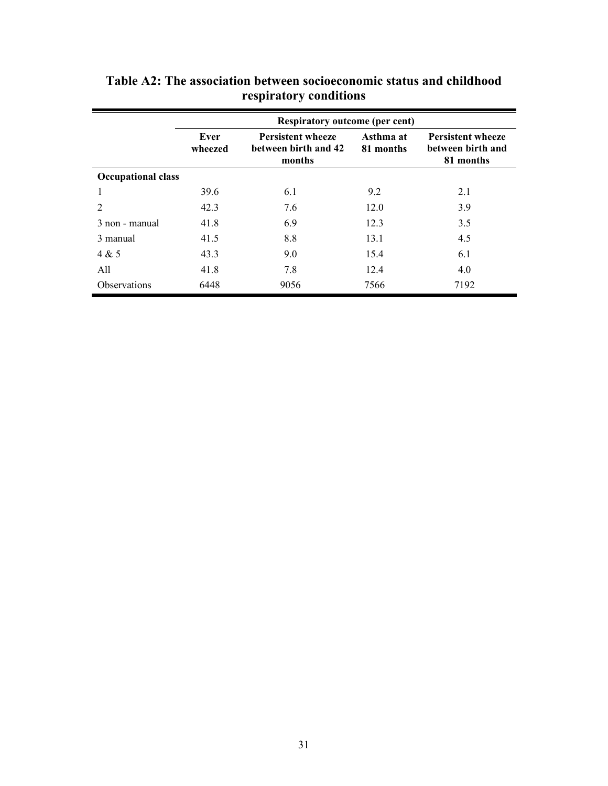|                           | <b>Respiratory outcome (per cent)</b> |                                                            |                        |                                                            |  |  |
|---------------------------|---------------------------------------|------------------------------------------------------------|------------------------|------------------------------------------------------------|--|--|
|                           | Ever<br>wheezed                       | <b>Persistent wheeze</b><br>between birth and 42<br>months | Asthma at<br>81 months | <b>Persistent wheeze</b><br>between birth and<br>81 months |  |  |
| <b>Occupational class</b> |                                       |                                                            |                        |                                                            |  |  |
|                           | 39.6                                  | 6.1                                                        | 9.2                    | 2.1                                                        |  |  |
| 2                         | 42.3                                  | 7.6                                                        | 12.0                   | 3.9                                                        |  |  |
| 3 non - manual            | 41.8                                  | 6.9                                                        | 12.3                   | 3.5                                                        |  |  |
| 3 manual                  | 41.5                                  | 8.8                                                        | 13.1                   | 4.5                                                        |  |  |
| 4 & 5                     | 43.3                                  | 9.0                                                        | 15.4                   | 6.1                                                        |  |  |
| All                       | 41.8                                  | 7.8                                                        | 12.4                   | 4.0                                                        |  |  |
| <b>Observations</b>       | 6448                                  | 9056                                                       | 7566                   | 7192                                                       |  |  |

**Table A2: The association between socioeconomic status and childhood respiratory conditions**